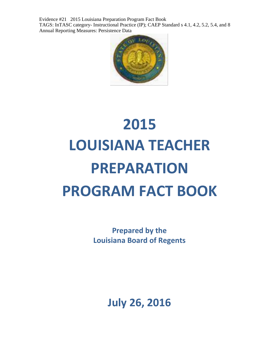Evidence #21 2015 Louisiana Preparation Program Fact Book TAGS: InTASC category- Instructional Practice (IP); CAEP Standard s 4.1, 4.2, 5.2, 5.4, and 8 Annual Reporting Measures: Persistence Data



# **2015 LOUISIANA TEACHER PREPARATION PROGRAM FACT BOOK**

**Prepared by the Louisiana Board of Regents**

**July 26, 2016**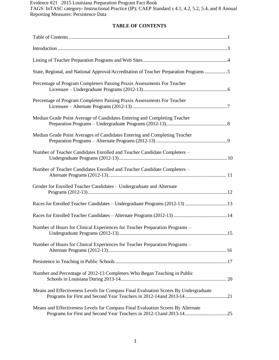Evidence #21 2015 Louisiana Preparation Program Fact Book TAGS: InTASC category- Instructional Practice (IP); CAEP Standard s 4.1, 4.2, 5.2, 5.4, and 8 Annual Reporting Measures: Persistence Data

# **TABLE OF CONTENTS**

| State, Regional, and National Approval/Accreditation of Teacher Preparation Programs5 |  |
|---------------------------------------------------------------------------------------|--|
| Percentage of Program Completers Passing Praxis Assessments For Teacher               |  |
| Percentage of Program Completers Passing Praxis Assessments For Teacher               |  |
| Median Grade Point Average of Candidates Entering and Completing Teacher              |  |
| Median Grade Point Averages of Candidates Entering and Completing Teacher             |  |
| Number of Teacher Candidates Enrolled and Teacher Candidate Completers -              |  |
| Number of Teacher Candidates Enrolled and Teacher Candidate Completers -              |  |
| Gender for Enrolled Teacher Candidates - Undergraduate and Alternate                  |  |
|                                                                                       |  |
|                                                                                       |  |
| Number of Hours for Clinical Experiences for Teacher Preparation Programs -           |  |
| Number of Hours for Clinical Experiences for Teacher Preparation Programs -           |  |
|                                                                                       |  |
| Number and Percentage of 2012-13 Completers Who Began Teaching in Public              |  |
| Means and Effectiveness Levels for Compass Final Evaluation Scores By Undergraduate   |  |
| Means and Effectiveness Levels for Compass Final Evaluation Scores By Alternate       |  |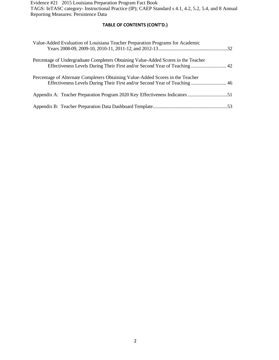Evidence #21 2015 Louisiana Preparation Program Fact Book TAGS: InTASC category- Instructional Practice (IP); CAEP Standard s 4.1, 4.2, 5.2, 5.4, and 8 Annual Reporting Measures: Persistence Data

# **TABLE OF CONTENTS (CONT'D.)**

| Value-Added Evaluation of Louisiana Teacher Preparation Programs for Academic                                                                                    |  |
|------------------------------------------------------------------------------------------------------------------------------------------------------------------|--|
| Percentage of Undergraduate Completers Obtaining Value-Added Scores in the Teacher<br>Effectiveness Levels During Their First and/or Second Year of Teaching  42 |  |
| Percentage of Alternate Completers Obtaining Value-Added Scores in the Teacher<br>Effectiveness Levels During Their First and/or Second Year of Teaching  46     |  |
|                                                                                                                                                                  |  |
|                                                                                                                                                                  |  |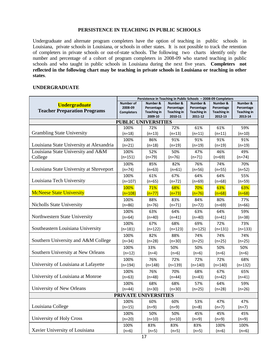## **PERSISTENCE IN TEACHING IN PUBLIC SCHOOLS**

Undergraduate and alternate program completers have the option of teaching in public schools in Louisiana, private schools in Louisiana, or schools in other states. It is not possible to track the retention of completers in private schools or out-of-state schools. The following two charts identify only the number and percentage of a cohort of program completers in 2008-09 who started teaching in public schools and who taught in public schools in Louisiana during the next five years. **Completers not reflected in the following chart may be teaching in private schools in Louisiana or teaching in other states**.

#### **UNDERGRADUATE**

|                                                             | Persistence in Teaching in Public Schools - 2008-09 Completers |                                                         |                                                         |                                                         |                                                         |                                                         |
|-------------------------------------------------------------|----------------------------------------------------------------|---------------------------------------------------------|---------------------------------------------------------|---------------------------------------------------------|---------------------------------------------------------|---------------------------------------------------------|
| <b>Undergraduate</b><br><b>Teacher Preparation Programs</b> | <b>Number of</b><br>2008-09<br><b>Completers</b>               | Number &<br>Percentage<br><b>Teaching in</b><br>2009-10 | Number &<br>Percentage<br><b>Teaching in</b><br>2010-11 | Number &<br>Percentage<br><b>Teaching in</b><br>2011-12 | Number &<br>Percentage<br><b>Teaching in</b><br>2012-13 | Number &<br>Percentage<br><b>Teaching in</b><br>2013-14 |
|                                                             | <b>PUBLIC UNIVERSITIES</b>                                     |                                                         |                                                         |                                                         |                                                         |                                                         |
|                                                             | 100%                                                           | 72%                                                     | 72%                                                     | 61%                                                     | 61%                                                     | 59%                                                     |
| <b>Grambling State University</b>                           | $(n=18)$                                                       | (n=13)                                                  | (n=13)                                                  | $(n=11)$                                                | $(n=11)$                                                | $(n=10)$                                                |
|                                                             | 100%                                                           | 86%                                                     | 91%                                                     | 91%                                                     | 91%                                                     | 91%                                                     |
| Louisiana State University at Alexandria                    | $(n=21)$                                                       | $(n=18)$                                                | $(n=19)$                                                | $(n=19)$                                                | $(n=19)$                                                | $(n=19)$                                                |
| Louisiana State University and A&M                          | 100%                                                           | 52%                                                     | 50%                                                     | 47%                                                     | 46%                                                     | 49%                                                     |
| College                                                     | $(n=151)$                                                      | $(n=79)$                                                | $(n=76)$                                                | $(n=71)$                                                | $(n=69)$                                                | $(n=74)$                                                |
|                                                             | 100%                                                           | 85%                                                     | 82%                                                     | 76%                                                     | 74%                                                     | 70%                                                     |
| Louisiana State University at Shreveport                    | $(n=74)$                                                       | (n=63)                                                  | $(n=61)$                                                | $(n=56)$                                                | $(n=55)$                                                | $(n=52)$                                                |
|                                                             | 100%                                                           | 61%                                                     | 67%                                                     | 64%                                                     | 64%                                                     | 55%                                                     |
| Louisiana Tech University                                   | (n=107)                                                        | (n=65)                                                  | $(n=72)$                                                | $(n=69)$                                                | $(n=68)$                                                | $(n=59)$                                                |
|                                                             | 100%                                                           | 71%                                                     | 68%                                                     | 70%                                                     | 63%                                                     | 63%                                                     |
| <b>McNeese State University</b>                             | $(n=108)$                                                      | $(n=77)$                                                | $(n=73)$                                                | $(n=76)$                                                | $(n=68)$                                                | $(n=68)$                                                |
|                                                             | 100%                                                           | 88%                                                     | 83%                                                     | 84%                                                     | 80%                                                     | 77%                                                     |
| <b>Nicholls State University</b>                            | $(n=86)$                                                       | $(n=76)$                                                | $(n=71)$                                                | $(n=72)$                                                | $(n=69)$                                                | $(n=66)$                                                |
|                                                             | 100%                                                           | 63%                                                     | 64%                                                     | 63%                                                     | 64%                                                     | 59%                                                     |
| Northwestern State University                               | $(n=64)$                                                       | (n=40)                                                  | $(n=41)$                                                | $(n=40)$                                                | $(n=41)$                                                | $(n=38)$                                                |
|                                                             | 100%                                                           | 67%                                                     | 68%                                                     | 69%                                                     | 72%                                                     | 73%                                                     |
| Southeastern Louisiana University                           | $(n=181)$                                                      | (n=122)                                                 | $(n=123)$                                               | $(n=125)$                                               | $(n=131)$                                               | $(n=133)$                                               |
|                                                             | 100%                                                           | 82%                                                     | 88%                                                     | 74%                                                     | 74%                                                     | 74%                                                     |
| Southern University and A&M College                         | $(n=34)$                                                       | (n=28)                                                  | $(n=30)$                                                | (n=25)                                                  | $(n=25)$                                                | $(n=25)$                                                |
|                                                             | 100%                                                           | 33%                                                     | 50%                                                     | 50%                                                     | 50%                                                     | 50%                                                     |
| Southern University at New Orleans                          | $(n=12)$                                                       | $(n=4)$                                                 | $(n=6)$                                                 | $(n=6)$                                                 | $(n=6)$                                                 | $(n=6)$                                                 |
|                                                             | 100%                                                           | 76%                                                     | 72%                                                     | 72%                                                     | 72%                                                     | 68%                                                     |
| University of Louisiana at Lafayette                        | (n=194)                                                        | (n=148)                                                 | (n=139)                                                 | $(n=140)$                                               | $(n=140)$                                               | (n=132)                                                 |
|                                                             | 100%                                                           | 76%                                                     | 70%                                                     | 68%                                                     | 67%                                                     | 65%                                                     |
| University of Louisiana at Monroe                           | $(n=63)$                                                       | $(n=48)$                                                | $(n=44)$                                                | $(n=43)$                                                | $(n=42)$                                                | $(n=41)$                                                |
|                                                             | 100%                                                           | 68%                                                     | 68%                                                     | 57%                                                     | 64%                                                     | 59%                                                     |
| University of New Orleans                                   | (n=44)                                                         | $(n=30)$                                                | $(n=30)$                                                | $(n=25)$                                                | $(n=28)$                                                | $(n=26)$                                                |
|                                                             | PRIVATE UNIVERSITIES                                           |                                                         |                                                         |                                                         |                                                         |                                                         |
|                                                             | 100%                                                           | 60%                                                     | 60%                                                     | 53%                                                     | 47%                                                     | 47%                                                     |
| Louisiana College                                           | $(n=15)$                                                       | $(n=9)$                                                 | $(n=9)$                                                 | $(n=8)$                                                 | $(n=7)$                                                 | $(n=7)$                                                 |
|                                                             | 100%                                                           | 50%                                                     | 50%                                                     | 45%                                                     | 45%                                                     | 45%                                                     |
| University of Holy Cross                                    | $(n=20)$                                                       | $(n=10)$                                                | $(n=10)$                                                | $(n=9)$                                                 | $(n=9)$                                                 | $(n=9)$                                                 |
|                                                             | 100%                                                           | 83%                                                     | 83%                                                     | 83%                                                     | 100%                                                    | 100%                                                    |
| Xavier University of Louisiana                              | $(n=6)$                                                        | $(n=5)$                                                 | $(n=5)$                                                 | $(n=5)$                                                 | $(n=6)$                                                 | $(n=6)$                                                 |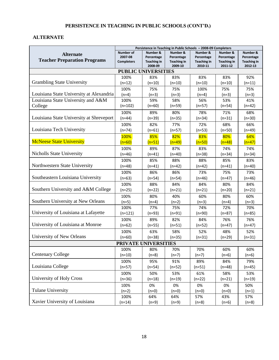# **PERSISTENCE IN TEACHING IN PUBLIC SCHOOLS (CONT'D.)**

# **ALTERNATE**

|                                          |                                  |                               | Persistence in Teaching in Public Schools - 2008-09 Completers |                               |                               |                               |
|------------------------------------------|----------------------------------|-------------------------------|----------------------------------------------------------------|-------------------------------|-------------------------------|-------------------------------|
| <b>Alternate</b>                         | Number of                        | Number &                      | Number &                                                       | Number &                      | Number &                      | Number &                      |
| <b>Teacher Preparation Programs</b>      | 2007-08                          | Percentage                    | Percentage                                                     | Percentage                    | Percentage                    | Percentage                    |
|                                          | <b>Completers</b>                | <b>Teaching in</b><br>2008-09 | <b>Teaching in</b><br>2009-10                                  | <b>Teaching in</b><br>2010-11 | <b>Teaching in</b><br>2011-12 | <b>Teaching in</b><br>2012-13 |
|                                          | <b>PUBLIC UNIVERSITIES</b>       |                               |                                                                |                               |                               |                               |
|                                          | 100%                             | 83%                           | 83%                                                            | 83%                           | 83%                           | 92%                           |
| <b>Grambling State University</b>        | $(n=12)$                         | $(n=10)$                      | $(n=10)$                                                       | $(n=10)$                      | $(n=10)$                      | $(n=11)$                      |
|                                          | 100%                             | 75%                           | 75%                                                            | 100%                          | 75%                           | 75%                           |
| Louisiana State University at Alexandria | $(n=4)$                          | $(n=3)$                       | $(n=3)$                                                        | $(n=4)$                       | $(n=3)$                       | $(n=3)$                       |
| Louisiana State University and A&M       | 100%                             | 59%                           | 58%                                                            | 56%                           | 53%                           | 41%                           |
| College                                  | $(n=102)$                        | $(n=60)$                      | $(n=59)$                                                       | $(n=57)$                      | $(n=54)$                      | $(n=42)$                      |
|                                          | 100%                             | 89%                           | 80%                                                            | 78%                           | 71%                           | 68%                           |
| Louisiana State University at Shreveport | $(n=44)$                         | $(n=39)$                      | $(n=35)$                                                       | $(n=34)$                      | $(n=31)$                      | $(n=30)$                      |
|                                          | 100%                             | 82%                           | 77%                                                            | 72%                           | 68%                           | 66%                           |
| Louisiana Tech University                | $(n=74)$                         | $(n=61)$                      | $(n=57)$                                                       | $(n=53)$                      | $(n=50)$                      | $(n=49)$                      |
|                                          | 100%                             | 85%                           | 82%                                                            | 83%                           | 80%                           | 64%                           |
| <b>McNeese State University</b>          | $(n=60)$                         | $(n=51)$                      | $(n=49)$                                                       | $(n=50)$                      | $(n=48)$                      | $(n=47)$                      |
|                                          | 100%                             | 89%                           | 87%                                                            | 83%                           | 74%                           | 74%                           |
| <b>Nicholls State University</b>         | $(n=46)$                         | $(n=41)$                      | $(n=40)$                                                       | $(n=38)$                      | $(n=34)$                      | $(n=34)$                      |
|                                          | 100%                             | 85%                           | 88%                                                            | 88%                           | 85%                           | 83%                           |
| Northwestern State University            | $(n=48)$                         | $(n=41)$                      | $(n=42)$                                                       | $(n=42)$                      | $(n=41)$                      | $(n=40)$                      |
|                                          | 100%                             | 86%                           | 86%                                                            | 73%                           | 75%                           | 73%                           |
| Southeastern Louisiana University        | $(n=63)$                         | $(n=54)$                      | $(n=54)$                                                       | $(n=46)$                      | $(n=47)$                      | $(n=46)$                      |
|                                          | 100%                             | 88%                           | 84%                                                            | 84%                           | 80%                           | 84%                           |
| Southern University and A&M College      | $(n=25)$                         | $(n=22)$                      | $(n=21)$                                                       | $(n=21)$                      | $(n=20)$                      | $(n=21)$                      |
|                                          | 100%                             | 80%                           | 40%                                                            | 60%                           | 80%                           | 60%                           |
| Southern University at New Orleans       | $(n=5)$                          | $(n=4)$                       | $(n=2)$                                                        | $(n=3)$                       | $(n=4)$                       | $(n=3)$                       |
| University of Louisiana at Lafayette     | 100%                             | 77%                           | 75%                                                            | 74%                           | 72%                           | 70%                           |
|                                          | $(n=121)$                        | $(n=93)$                      | $(n=91)$                                                       | $(n=90)$                      | $(n=87)$                      | $(n=85)$                      |
| University of Louisiana at Monroe        | 100%                             | 89%                           | 82%                                                            | 84%                           | 76%                           | 76%                           |
|                                          | $(n=62)$                         | $(n=55)$                      | $(n=51)$                                                       | $(n=52)$                      | $(n=47)$                      | $(n=47)$                      |
| University of New Orleans                | 100%                             | 63%                           | 58%                                                            | 52%                           | 48%                           | 52%                           |
|                                          | $(n=60)$<br>PRIVATE UNIVERSITIES | $(n=38)$                      | $(n=35)$                                                       | $(n=31)$                      | $(n=29)$                      | $(n=31)$                      |
|                                          | 100%                             | 80%                           | 70%                                                            | 70%                           | 60%                           | 60%                           |
| <b>Centenary College</b>                 | $(n=10)$                         | $(n=8)$                       | $(n=7)$                                                        | $(n=7)$                       | $(n=6)$                       | $(n=6)$                       |
|                                          | 100%                             | 95%                           | 91%                                                            | 89%                           | 84%                           | 79%                           |
| Louisiana College                        | $(n=57)$                         | $(n=54)$                      | $(n=52)$                                                       | $(n=51)$                      | $(n=48)$                      | (n=45)                        |
|                                          | 100%                             | 50%                           | 53%                                                            | 61%                           | 58%                           | 53%                           |
| University of Holy Cross                 | $(n=36)$                         | $(n=18)$                      | $(n=19)$                                                       | $(n=22)$                      | $(n=21)$                      | $(n=19)$                      |
|                                          | 100%                             | 0%                            | 0%                                                             | 0%                            | 0%                            | 50%                           |
| <b>Tulane University</b>                 | $(n=2)$                          | $(n=0)$                       | $(n=0)$                                                        | $(n=0)$                       | $(n=0)$                       | $(n=1)$                       |
|                                          | 100%                             | 64%                           | 64%                                                            | 57%                           | 43%                           | 57%                           |
| Xavier University of Louisiana           | $(n=14)$                         | $(n=9)$                       | $(n=9)$                                                        | $(n=8)$                       | $(n=6)$                       | $(n=8)$                       |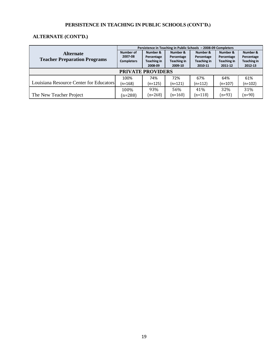# **PERSISTENCE IN TEACHING IN PUBLIC SCHOOLS (CONT'D.)**

# **ALTERNATE (CONT'D.)**

|                                         | Persistence in Teaching in Public Schools - 2008-09 Completers |             |             |             |                    |                    |  |  |
|-----------------------------------------|----------------------------------------------------------------|-------------|-------------|-------------|--------------------|--------------------|--|--|
| <b>Alternate</b>                        | Number of                                                      | Number &    | Number &    | Number &    | Number &           | Number &           |  |  |
|                                         | 2007-08                                                        | Percentage  | Percentage  | Percentage  | Percentage         | Percentage         |  |  |
| <b>Teacher Preparation Programs</b>     | <b>Completers</b>                                              | Teaching in | Teaching in | Teaching in | <b>Teaching in</b> | <b>Teaching in</b> |  |  |
|                                         |                                                                | 2008-09     | 2009-10     | 2010-11     | 2011-12            | 2012-13            |  |  |
| <b>PRIVATE PROVIDERS</b>                |                                                                |             |             |             |                    |                    |  |  |
|                                         | 100%                                                           | 74%         | 72%         | 67%         | 64%                | 61%                |  |  |
| Louisiana Resource Center for Educators | $(n=168)$                                                      | $(n=125)$   | $(n=121)$   | (n=112)     | $(n=107)$          | $(n=102)$          |  |  |
|                                         | 100%                                                           | 93%         | 56%         | 41%         | 32%                | 31%                |  |  |
| The New Teacher Project                 | $(n=288)$                                                      | $(n=268)$   | $(n=160)$   | $(n=118)$   | $(n=93)$           | $(n=90)$           |  |  |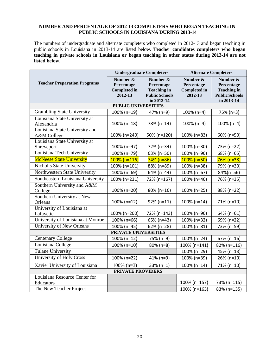#### **NUMBER AND PERCENTAGE OF 2012-13 COMPLETERS WHO BEGAN TEACHING IN PUBLIC SCHOOLS IN LOUISIANA DURING 2013-14**

The numbers of undergraduate and alternate completers who completed in 2012-13 and began teaching in public schools in Louisiana in 2013-14 are listed below. **Teacher candidates completers who began teaching in private schools in Louisiana or began teaching in other states during 2013-14 are not listed below.**

|                                               | <b>Undergraduate Completers</b>                          |                                                                                     | <b>Alternate Completers</b>                              |                                                                                     |  |  |  |  |
|-----------------------------------------------|----------------------------------------------------------|-------------------------------------------------------------------------------------|----------------------------------------------------------|-------------------------------------------------------------------------------------|--|--|--|--|
| <b>Teacher Preparation Programs</b>           | Number &<br>Percentage<br><b>Completed in</b><br>2012-13 | Number &<br>Percentage<br><b>Teaching in</b><br><b>Public Schools</b><br>in 2013-14 | Number &<br>Percentage<br><b>Completed in</b><br>2012-13 | Number &<br>Percentage<br><b>Teaching in</b><br><b>Public Schools</b><br>in 2013-14 |  |  |  |  |
| <b>PUBLIC UNIVERSITIES</b>                    |                                                          |                                                                                     |                                                          |                                                                                     |  |  |  |  |
| <b>Grambling State University</b>             | 100% (n=19)                                              | 47% (n=9)                                                                           | 100% (n=4)                                               | 75% (n=3)                                                                           |  |  |  |  |
| Louisiana State University at<br>Alexandria   | 100% (n=18)                                              | 78% (n=14)                                                                          | $100\%$ (n=4)                                            | $100\%$ (n=4)                                                                       |  |  |  |  |
| Louisiana State University and<br>A&M College | 100% (n=240)                                             | 50% (n=120)                                                                         | 100% (n=83)                                              | 60% (n=50)                                                                          |  |  |  |  |
| Louisiana State University at<br>Shreveport   | 100% (n=47)                                              | 72% (n=34)                                                                          | 100% (n=30)                                              | 73% (n=22)                                                                          |  |  |  |  |
| Louisiana Tech University                     | 100% (n=79)                                              | 63% (n=50)                                                                          | 100% (n=96)                                              | 68% (n=65)                                                                          |  |  |  |  |
| <b>McNeese State University</b>               | $100\%$ (n=116)                                          | $74%$ (n=86)                                                                        | $100\%$ (n=50)                                           | $76%$ (n=38)                                                                        |  |  |  |  |
| Nicholls State University                     | 100% (n=101)                                             | 88% (n=89)                                                                          | 100% (n=38)                                              | 79% (n=30)                                                                          |  |  |  |  |
| Northwestern State University                 | 100% (n=69)                                              | 64% (n=44)                                                                          | 100% (n=67)                                              | 84%(n=56)                                                                           |  |  |  |  |
| Southeastern Louisiana University             | 100% (n=231)                                             | 72% (n=167)                                                                         | 100% (n=46)                                              | 76% (n=35)                                                                          |  |  |  |  |
| Southern University and A&M<br>College        | 100% (n=20)                                              | 80% (n=16)                                                                          | 100% (n=25)                                              | 88% (n=22)                                                                          |  |  |  |  |
| Southern University at New<br>Orleans         | 100% (n=12)                                              | 92% (n=11)                                                                          | 100% (n=14)                                              | 71% (n=10)                                                                          |  |  |  |  |
| University of Louisiana at<br>Lafayette       | 100% (n=200)                                             | 72% (n=143)                                                                         | 100% (n=96)                                              | 64% (n=61)                                                                          |  |  |  |  |
| University of Louisiana at Monroe             | 100% (n=66)                                              | 65% (n=43)                                                                          | 100% (n=32)                                              | 69% (n=22)                                                                          |  |  |  |  |
| University of New Orleans                     | 100% (n=45)                                              | 62% (n=28)                                                                          | 100% (n=81)                                              | 73% (n=59)                                                                          |  |  |  |  |
|                                               | PRIVATE UNIVERSITIES                                     |                                                                                     |                                                          |                                                                                     |  |  |  |  |
| <b>Centenary College</b>                      | 100% (n=12)                                              | 75% (n=9)                                                                           | 100% (n=24)                                              | 67% (n=16)                                                                          |  |  |  |  |
| Louisiana College                             | 100% (n=10)                                              | 80% (n=8)                                                                           | 100% (n=141)                                             | 82% (n=116)                                                                         |  |  |  |  |
| <b>Tulane University</b>                      |                                                          |                                                                                     | 100% (n=29)                                              | 45% (n=13)                                                                          |  |  |  |  |
| University of Holy Cross                      | 100% (n=22)                                              | 41% (n=9)                                                                           | 100% (n=39)                                              | 26% (n=10)                                                                          |  |  |  |  |
| Xavier University of Louisiana                | $100\%$ (n=3)                                            | 33% (n=1)                                                                           | 100% (n=14)                                              | 71% (n=10)                                                                          |  |  |  |  |
|                                               | <b>PRIVATE PROVIDERS</b>                                 |                                                                                     |                                                          |                                                                                     |  |  |  |  |
| Louisiana Resource Center for<br>Educators    |                                                          |                                                                                     | 100% (n=157)                                             | 73% (n=115)                                                                         |  |  |  |  |
| The New Teacher Project                       |                                                          |                                                                                     | 100% (n=163)                                             | 83% (n=135)                                                                         |  |  |  |  |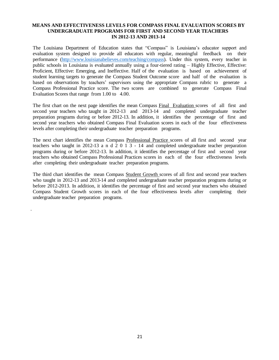#### **MEANS AND EFFECTIVENESS LEVELS FOR COMPASS FINAL EVALUATION SCORES BY UNDERGRADUATE PROGRAMS FOR FIRST AND SECOND YEAR TEACHERS IN 2012-13 AND 2013-14**

The Louisiana Department of Education states that "Compass" is Louisiana's educator support and evaluation system designed to provide all educators with regular, meaningful feedback on their performance [\(http://www.louisianabelieves.com/teaching/compass\)](http://www.louisianabelieves.com/teaching/compass). Under this system, every teacher in public schools in Louisiana is evaluated annually using a four-tiered rating – Highly Effective, Effective: Proficient, Effective: Emerging, and Ineffective. Half of the evaluation is based on achievement of student learning targets to generate the Compass Student Outcome score and half of the evaluation is based on observations by teachers' supervisors using the appropriate Compass rubric to generate a Compass Professional Practice score. The two scores are combined to generate Compass Final Evaluation Scores that range from 1.00 to 4.00.

The first chart on the next page identifies the mean Compass Final Evaluation scores of all first and second year teachers who taught in 2012-13 and 2013-14 and completed undergraduate teacher preparation programs during or before 2012-13. In addition, it identifies the percentage of first and second year teachers who obtained Compass Final Evaluation scores in each of the four effectiveness levels after completing their undergraduate teacher preparation programs.

The next chart identifies the mean Compass Professional Practice scores of all first and second year teachers who taught in 2012-13 a n d 2 0 1 3 - 14 and completed undergraduate teacher preparation programs during or before 2012-13. In addition, it identifies the percentage of first and second year teachers who obtained Compass Professional Practices scores in each of the four effectiveness levels after completing their undergraduate teacher preparation programs.

The third chart identifies the mean Compass Student Growth scores of all first and second year teachers who taught in 2012-13 and 2013-14 and completed undergraduate teacher preparation programs during or before 2012-2013. In addition, it identifies the percentage of first and second year teachers who obtained Compass Student Growth scores in each of the four effectiveness levels after completing their undergraduate teacher preparation programs.

.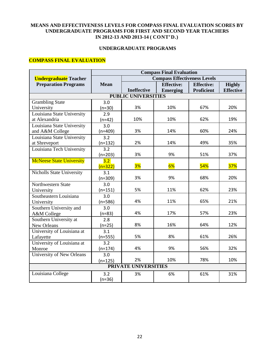#### **UNDERGRADUATE PROGRAMS**

# **COMPASS FINAL EVALUATION**

|                                 | <b>Compass Final Evaluation</b> |                            |                                     |                   |                  |
|---------------------------------|---------------------------------|----------------------------|-------------------------------------|-------------------|------------------|
| <b>Undergraduate</b> Teacher    |                                 |                            | <b>Compass Effectiveness Levels</b> |                   |                  |
| <b>Preparation Programs</b>     | <b>Mean</b>                     |                            | <b>Effective:</b>                   | <b>Effective:</b> | <b>Highly</b>    |
|                                 |                                 | <b>Ineffective</b>         | <b>Emerging</b>                     | <b>Proficient</b> | <b>Effective</b> |
|                                 |                                 | <b>PUBLIC UNIVERSITIES</b> |                                     |                   |                  |
| <b>Grambling State</b>          | 3.0                             |                            |                                     |                   |                  |
| University                      | $(n=30)$                        | 3%                         | 10%                                 | 67%               | 20%              |
| Louisiana State University      | 2.9                             |                            |                                     |                   |                  |
| at Alexandria                   | $(n=42)$                        | 10%                        | 10%                                 | 62%               | 19%              |
| Louisiana State University      | 3.0                             |                            |                                     |                   |                  |
| and A&M College                 | $(n=409)$                       | 3%                         | 14%                                 | 60%               | 24%              |
| Louisiana State University      | 3.2                             |                            |                                     |                   |                  |
| at Shreveport                   | $(n=132)$                       | 2%                         | 14%                                 | 49%               | 35%              |
| Louisiana Tech University       | 3.2                             |                            |                                     |                   |                  |
|                                 | $(n=203)$                       | 3%                         | 9%                                  | 51%               | 37%              |
| <b>McNeese State University</b> | 3.2                             |                            |                                     |                   |                  |
|                                 | $(n=322)$                       | 3%                         | 6%                                  | 54%               | 37%              |
| Nicholls State University       | 3.1                             |                            |                                     |                   |                  |
|                                 | $(n=309)$                       | 3%                         | 9%                                  | 68%               | 20%              |
| Northwestern State              | 3.0                             |                            |                                     |                   |                  |
| University                      | $(n=151)$                       | 5%                         | 11%                                 | 62%               | 23%              |
| Southeastern Louisiana          | 3.0                             |                            |                                     |                   |                  |
| University                      | $(n=586)$                       | 4%                         | 11%                                 | 65%               | 21%              |
| Southern University and         | 3.0                             |                            |                                     |                   |                  |
| A&M College                     | $(n=83)$                        | 4%                         | 17%                                 | 57%               | 23%              |
| Southern University at          | 2.8                             |                            |                                     |                   |                  |
| New Orleans                     | $(n=25)$                        | 8%                         | 16%                                 | 64%               | 12%              |
| University of Louisiana at      | 3.1                             |                            |                                     |                   |                  |
| Lafayette                       | $(n=555)$                       | 5%                         | 8%                                  | 61%               | 26%              |
| University of Louisiana at      | 3.2                             |                            |                                     |                   |                  |
| Monroe                          | $(n=174)$                       | 4%                         | 9%                                  | 56%               | 32%              |
| University of New Orleans       | 3.0                             |                            |                                     |                   |                  |
|                                 | $(n=125)$                       | 2%                         | 10%                                 | 78%               | 10%              |
|                                 |                                 | PRIVATE UNIVERSITIES       |                                     |                   |                  |
| Louisiana College               | 3.2                             | 3%                         | 6%                                  | 61%               | 31%              |
|                                 | $(n=36)$                        |                            |                                     |                   |                  |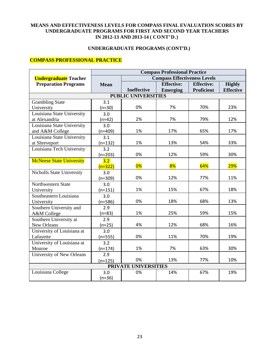# **UNDERGRADUATE PROGRAMS (CONT'D.)**

## **COMPASS PROFESSIONAL PRACTICE**

|                                  | <b>Compass Professional Practice</b> |                             |                                     |                   |                  |
|----------------------------------|--------------------------------------|-----------------------------|-------------------------------------|-------------------|------------------|
| <b>Undergraduate</b> Teacher     |                                      |                             | <b>Compass Effectiveness Levels</b> |                   |                  |
| <b>Preparation Programs</b>      | <b>Mean</b>                          |                             | <b>Effective:</b>                   | <b>Effective:</b> | <b>Highly</b>    |
|                                  |                                      | <b>Ineffective</b>          | <b>Emerging</b>                     | <b>Proficient</b> | <b>Effective</b> |
|                                  |                                      | <b>PUBLIC UNIVERSITIES</b>  |                                     |                   |                  |
| <b>Grambling State</b>           | 3.1                                  |                             |                                     |                   |                  |
| University                       | $(n=30)$                             | 0%                          | 7%                                  | 70%               | 23%              |
| Louisiana State University       | 3.0                                  |                             |                                     |                   |                  |
| at Alexandria                    | $(n=42)$                             | 2%                          | 7%                                  | 79%               | 12%              |
| Louisiana State University       | 3.0                                  |                             |                                     |                   |                  |
| and A&M College                  | $(n=409)$                            | 1%                          | 17%                                 | 65%               | 17%              |
| Louisiana State University       | 3.1                                  |                             |                                     |                   |                  |
| at Shreveport                    | $(n=132)$                            | 1%                          | 13%                                 | 54%               | 33%              |
| Louisiana Tech University        | 3.2                                  |                             |                                     |                   |                  |
|                                  | $(n=203)$                            | 0%                          | 12%                                 | 59%               | 30%              |
| <b>McNeese State University</b>  | 3.2                                  |                             |                                     |                   |                  |
|                                  | $(n=322)$                            | 0%                          | 8%                                  | 64%               | <b>29%</b>       |
| Nicholls State University        | 3.0                                  |                             |                                     |                   |                  |
|                                  | $(n=309)$                            | 0%                          | 12%                                 | 77%               | 11%              |
| Northwestern State               | 3.0                                  |                             |                                     |                   |                  |
| University                       | $(n=151)$                            | 1%                          | 15%                                 | 67%               | 18%              |
| Southeastern Louisiana           | 3.0                                  |                             |                                     |                   |                  |
| University                       | $(n=586)$                            | 0%                          | 18%                                 | 68%               | 13%              |
| Southern University and          | 2.9                                  |                             |                                     |                   |                  |
| A&M College                      | $(n=83)$                             | 1%                          | 25%                                 | 59%               | 15%              |
| Southern University at           | 2.9                                  |                             |                                     |                   |                  |
| New Orleans                      | $(n=25)$                             | 4%                          | 12%                                 | 68%               | 16%              |
| University of Louisiana at       | 3.0                                  |                             |                                     |                   |                  |
| Lafayette                        | $(n=555)$                            | 0%                          | 11%                                 | 70%               | 19%              |
| University of Louisiana at       | 3.2                                  |                             |                                     |                   |                  |
| Monroe                           | $(n=174)$                            | 1%                          | 7%                                  | 63%               | 30%              |
| <b>University of New Orleans</b> | 2.9                                  |                             |                                     |                   |                  |
|                                  | $(n=125)$                            | 0%                          | 13%                                 | 77%               | 10%              |
|                                  |                                      | <b>PRIVATE UNIVERSITIES</b> |                                     |                   |                  |
| Louisiana College                | 3.0                                  | 0%                          | 14%                                 | 67%               | 19%              |
|                                  | $(n=36)$                             |                             |                                     |                   |                  |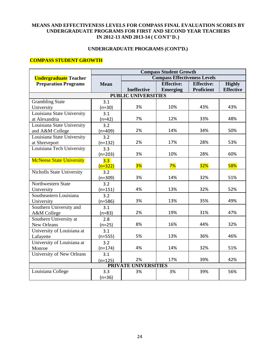## **UNDERGRADUATE PROGRAMS (CONT'D.)**

## **COMPASS STUDENT GROWTH**

|                                  | <b>Compass Student Growth</b> |                             |                                     |                   |                  |  |
|----------------------------------|-------------------------------|-----------------------------|-------------------------------------|-------------------|------------------|--|
| <b>Undergraduate</b> Teacher     |                               |                             | <b>Compass Effectiveness Levels</b> |                   |                  |  |
| <b>Preparation Programs</b>      | <b>Mean</b>                   |                             | <b>Effective:</b>                   | <b>Effective:</b> | <b>Highly</b>    |  |
|                                  |                               | <b>Ineffective</b>          | <b>Emerging</b>                     | <b>Proficient</b> | <b>Effective</b> |  |
|                                  |                               | <b>PUBLIC UNIVERSITIES</b>  |                                     |                   |                  |  |
| <b>Grambling State</b>           | 3.1                           |                             |                                     |                   |                  |  |
| University                       | $(n=30)$                      | 3%                          | 10%                                 | 43%               | 43%              |  |
| Louisiana State University       | 3.1                           |                             |                                     |                   |                  |  |
| at Alexandria                    | $(n=42)$                      | 7%                          | 12%                                 | 33%               | 48%              |  |
| Louisiana State University       | 3.2                           |                             |                                     |                   |                  |  |
| and A&M College                  | $(n=409)$                     | 2%                          | 14%                                 | 34%               | 50%              |  |
| Louisiana State University       | 3.2                           |                             |                                     |                   |                  |  |
| at Shreveport                    | $(n=132)$                     | 2%                          | 17%                                 | 28%               | 53%              |  |
| Louisiana Tech University        | 3.3                           |                             |                                     |                   |                  |  |
|                                  | $(n=203)$                     | 3%                          | 10%                                 | 28%               | 60%              |  |
| <b>McNeese State University</b>  | 3.3                           |                             |                                     |                   |                  |  |
|                                  | $(n=322)$                     | 3%                          | 7%                                  | 32%               | 58%              |  |
| <b>Nicholls State University</b> | 3.2                           |                             |                                     |                   |                  |  |
|                                  | $(n=309)$                     | 3%                          | 14%                                 | 32%               | 51%              |  |
| Northwestern State               | 3.2                           |                             |                                     |                   |                  |  |
| University                       | $(n=151)$                     | 4%                          | 13%                                 | 32%               | 52%              |  |
| Southeastern Louisiana           | 3.2                           |                             |                                     |                   |                  |  |
| University                       | $(n=586)$                     | 3%                          | 13%                                 | 35%               | 49%              |  |
| Southern University and          | 3.1                           |                             |                                     |                   |                  |  |
| A&M College                      | $(n=83)$                      | 2%                          | 19%                                 | 31%               | 47%              |  |
| Southern University at           | 2.8                           |                             |                                     |                   |                  |  |
| New Orleans                      | $(n=25)$                      | 8%                          | 16%                                 | 44%               | 32%              |  |
| University of Louisiana at       | 3.1                           |                             |                                     |                   |                  |  |
| Lafayette                        | $(n=555)$                     | 5%                          | 13%                                 | 36%               | 46%              |  |
| University of Louisiana at       | 3.2                           |                             |                                     |                   |                  |  |
| Monroe                           | $(n=174)$                     | 4%                          | 14%                                 | 32%               | 51%              |  |
| <b>University of New Orleans</b> | 3.1                           |                             |                                     |                   |                  |  |
|                                  | $(n=125)$                     | 2%                          | 17%                                 | 39%               | 42%              |  |
|                                  |                               | <b>PRIVATE UNIVERSITIES</b> |                                     |                   |                  |  |
| Louisiana College                | 3.3                           | 3%                          | 3%                                  | 39%               | 56%              |  |
|                                  | $(n=36)$                      |                             |                                     |                   |                  |  |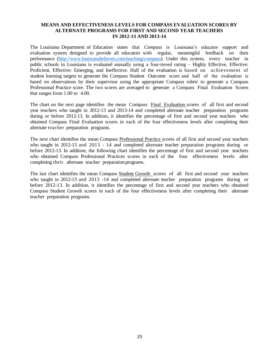The Louisiana Department of Education states that *Compass* is Louisiana's educator support and evaluation system designed to provide all educators with regular, meaningful feedback on their performance [\(http://www.louisianabelieves.com/teaching/compass\)](http://www.louisianabelieves.com/teaching/compass). Under this system, every teacher in public schools in Louisiana is evaluated annually using a four-tiered rating – Highly Effective, Effective: Proficient, Effective: Emerging, and Ineffective. Half of the evaluation is based on achievement of student learning targets to generate the Compass Student Outcome score and half of the evaluation is based on observations by their supervisor using the appropriate Compass rubric to generate a Compass Professional Practice score. The two scores are averaged to generate a Compass Final Evaluation Scores that ranges from 1.00 to 4.00.

The chart on the next page identifies the mean Compass Final Evaluation scores of all first and second year teachers who taught in 2012-13 and 2013-14 and completed alternate teacher preparation programs during or before 2012-13. In addition, it identifies the percentage of first and second year teachers who obtained Compass Final Evaluation scores in each of the four effectiveness levels after completing their alternate teacher preparation programs.

The next chart identifies the mean Compass Professional Practice scores of all first and second year teachers who taught in 2012-13 and 2013 - 14 and completed alternate teacher preparation programs during or before 2012-13. In addition, the following chart identifies the percentage of first and second year teachers who obtained Compass Professional Practices scores in each of the four effectiveness levels after completing their alternate teacher preparation programs.

The last chart identifies the mean Compass Student Growth scores of all first and second year teachers who taught in 2012-13 and 2013 -14 and completed alternate teacher preparation programs during or before 2012-13. In addition, it identifies the percentage of first and second year teachers who obtained Compass Student Growth scores in each of the four effectiveness levels after completing their alternate teacher preparation programs.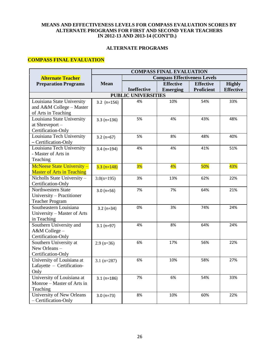#### **ALTERNATE PROGRAMS**

## **COMPASS FINAL EVALUATION**

|                                                          | <b>COMPASS FINAL EVALUATION</b> |                                     |                  |                   |                  |  |
|----------------------------------------------------------|---------------------------------|-------------------------------------|------------------|-------------------|------------------|--|
| <b>Alternate Teacher</b>                                 |                                 | <b>Compass Effectiveness Levels</b> |                  |                   |                  |  |
| <b>Preparation Programs</b>                              | <b>Mean</b>                     |                                     | <b>Effective</b> | <b>Effective</b>  | <b>Highly</b>    |  |
|                                                          |                                 | <b>Ineffective</b>                  | <b>Emerging</b>  | <b>Proficient</b> | <b>Effective</b> |  |
|                                                          |                                 | <b>PUBLIC UNIVERSITIES</b>          |                  |                   |                  |  |
| Louisiana State University                               | $3.2$ (n=156)                   | 4%                                  | 10%              | 54%               | 33%              |  |
| and A&M College - Master                                 |                                 |                                     |                  |                   |                  |  |
| of Arts in Teaching                                      |                                 |                                     |                  |                   |                  |  |
| Louisiana State University                               | $3.3(n=136)$                    | 5%                                  | 4%               | 43%               | 48%              |  |
| at Shreveport-                                           |                                 |                                     |                  |                   |                  |  |
| Certification-Only                                       |                                 |                                     |                  |                   |                  |  |
| Louisiana Tech University                                | $3.2(n=67)$                     | 5%                                  | 8%               | 48%               | 40%              |  |
| - Certification-Only                                     |                                 |                                     |                  |                   |                  |  |
| Louisiana Tech University                                | $3.4 (n=194)$                   | 4%                                  | 4%               | 41%               | 51%              |  |
| - Master of Arts in                                      |                                 |                                     |                  |                   |                  |  |
| Teaching                                                 |                                 |                                     |                  |                   |                  |  |
| <b>McNeese State University -</b>                        | $3.3 (n=148)$                   | <b>3%</b>                           | 4%               | <b>50%</b>        | 43%              |  |
| <b>Master of Arts in Teaching</b>                        |                                 |                                     |                  |                   |                  |  |
| Nicholls State University-                               | $3.0(n=195)$                    | 3%                                  | 13%              | 62%               | 22%              |  |
| Certification-Only                                       |                                 |                                     |                  |                   |                  |  |
| Northwestern State                                       | $3.0 (n=56)$                    | 7%                                  | 7%               | 64%               | 21%              |  |
| University – Practitioner                                |                                 |                                     |                  |                   |                  |  |
| <b>Teacher Program</b>                                   |                                 |                                     |                  |                   |                  |  |
| Southeastern Louisiana                                   | $3.2(n=34)$                     | 0%                                  | 3%               | 74%               | 24%              |  |
| University - Master of Arts                              |                                 |                                     |                  |                   |                  |  |
| in Teaching                                              |                                 |                                     |                  |                   |                  |  |
| Southern University and                                  | $3.1(n=97)$                     | 4%                                  | 8%               | 64%               | 24%              |  |
| A&M College-                                             |                                 |                                     |                  |                   |                  |  |
| Certification-Only                                       |                                 |                                     |                  |                   |                  |  |
| Southern University at                                   | $2.9$ (n=36)                    | 6%                                  | 17%              | 56%               | 22%              |  |
| New Orleans -                                            |                                 |                                     |                  |                   |                  |  |
| Certification-Only                                       |                                 |                                     |                  |                   |                  |  |
| University of Louisiana at                               | $3.1$ (n=287)                   | 6%                                  | 10%              | 58%               | 27%              |  |
| Lafayette - Certification-                               |                                 |                                     |                  |                   |                  |  |
| Only                                                     |                                 |                                     |                  |                   |                  |  |
| University of Louisiana at                               | $3.1(n=186)$                    | 7%                                  | 6%               | 54%               | 33%              |  |
| Monroe – Master of Arts in                               |                                 |                                     |                  |                   |                  |  |
| Teaching                                                 |                                 |                                     |                  |                   |                  |  |
|                                                          |                                 |                                     |                  |                   |                  |  |
| <b>University of New Orleans</b><br>- Certification-Only | $3.0 (n=73)$                    | 8%                                  | 10%              | 60%               | 22%              |  |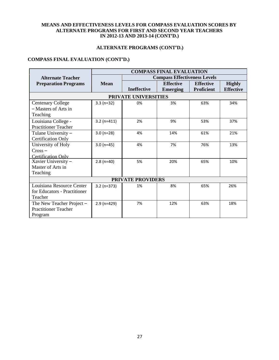# **ALTERNATE PROGRAMS (CONT'D.)**

## **COMPASS FINAL EVALUATION (CONT'D.)**

|                                                                      | <b>COMPASS FINAL EVALUATION</b> |                    |                                     |                                       |                                   |  |  |  |  |
|----------------------------------------------------------------------|---------------------------------|--------------------|-------------------------------------|---------------------------------------|-----------------------------------|--|--|--|--|
| <b>Alternate Teacher</b>                                             |                                 |                    | <b>Compass Effectiveness Levels</b> |                                       |                                   |  |  |  |  |
| <b>Preparation Programs</b>                                          | <b>Mean</b>                     | <b>Ineffective</b> | <b>Effective</b><br><b>Emerging</b> | <b>Effective</b><br><b>Proficient</b> | <b>Highly</b><br><b>Effective</b> |  |  |  |  |
| PRIVATE UNIVERSITIES                                                 |                                 |                    |                                     |                                       |                                   |  |  |  |  |
| <b>Centenary College</b><br>- Masters of Arts in<br>Teaching         | $3.3(n=32)$                     | 0%                 | 3%                                  | 63%                                   | 34%                               |  |  |  |  |
| Louisiana College -<br><b>Practitioner Teacher</b>                   | $3.2 (n=411)$                   | 2%                 | 9%                                  | 53%                                   | 37%                               |  |  |  |  |
| Tulane University -<br><b>Certification Only</b>                     | $3.0 (n=28)$                    | 4%                 | 14%                                 | 61%                                   | 21%                               |  |  |  |  |
| University of Holy<br>$Cross -$<br><b>Certification Only</b>         | $3.0 (n=45)$                    | 4%                 | 7%                                  | 76%                                   | 13%                               |  |  |  |  |
| Xavier University -<br>Master of Arts in<br>Teaching                 | $2.8(n=40)$                     | 5%                 | 20%                                 | 65%                                   | 10%                               |  |  |  |  |
| <b>PRIVATE PROVIDERS</b>                                             |                                 |                    |                                     |                                       |                                   |  |  |  |  |
| Louisiana Resource Center<br>for Educators - Practitioner<br>Teacher | $3.2 (n=373)$                   | 1%                 | 8%                                  | 65%                                   | 26%                               |  |  |  |  |
| The New Teacher Project -<br><b>Practitioner Teacher</b><br>Program  | $2.9$ (n=429)                   | 7%                 | 12%                                 | 63%                                   | 18%                               |  |  |  |  |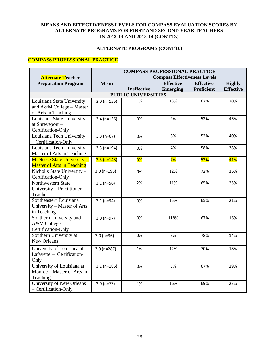## **ALTERNATE PROGRAMS (CONT'D.)**

## **COMPASS PROFESSIONAL PRACTICE**

|                                    | <b>COMPASS PROFESSIONAL PRACTICE</b> |                                     |                  |                   |                  |  |
|------------------------------------|--------------------------------------|-------------------------------------|------------------|-------------------|------------------|--|
| <b>Alternate Teacher</b>           |                                      | <b>Compass Effectiveness Levels</b> |                  |                   |                  |  |
| <b>Preparation Program</b>         | <b>Mean</b>                          |                                     | <b>Effective</b> | <b>Effective</b>  | <b>Highly</b>    |  |
|                                    |                                      | <b>Ineffective</b>                  | <b>Emerging</b>  | <b>Proficient</b> | <b>Effective</b> |  |
|                                    |                                      | <b>PUBLIC UNIVERSITIES</b>          |                  |                   |                  |  |
| Louisiana State University         | $3.0 (n=156)$                        | 1%                                  | 13%              | 67%               | 20%              |  |
| and A&M College - Master           |                                      |                                     |                  |                   |                  |  |
| of Arts in Teaching                |                                      |                                     |                  |                   |                  |  |
| Louisiana State University         | $3.4 (n=136)$                        | 0%                                  | 2%               | 52%               | 46%              |  |
| at Shreveport-                     |                                      |                                     |                  |                   |                  |  |
| Certification-Only                 |                                      |                                     |                  |                   |                  |  |
| Louisiana Tech University          | $3.3(n=67)$                          | 0%                                  | 8%               | 52%               | 40%              |  |
| - Certification-Only               |                                      |                                     |                  |                   |                  |  |
| Louisiana Tech University          | $3.3(n=194)$                         | 0%                                  | 4%               | 58%               | 38%              |  |
| Master of Arts in Teaching         |                                      |                                     |                  |                   |                  |  |
| <b>McNeese State University -</b>  | $3.3 (n=148)$                        | 0%                                  | 7%               | <b>53%</b>        | 41%              |  |
| <b>Master of Arts in Teaching</b>  |                                      |                                     |                  |                   |                  |  |
| Nicholls State University-         | $3.0 (n=195)$                        | 0%                                  | 12%              | 72%               | 16%              |  |
| Certification-Only                 |                                      |                                     |                  |                   |                  |  |
| Northwestern State                 | $3.1(n=56)$                          | 2%                                  | 11%              | 65%               | 25%              |  |
| University - Practitioner          |                                      |                                     |                  |                   |                  |  |
| Teacher                            |                                      |                                     |                  |                   |                  |  |
| Southeastern Louisiana             | $3.1(n=34)$                          | 0%                                  | 15%              | 65%               | 21%              |  |
| University - Master of Arts        |                                      |                                     |                  |                   |                  |  |
| in Teaching                        |                                      |                                     |                  |                   |                  |  |
| Southern University and            | $3.0 (n=97)$                         | 0%                                  | 118%             | 67%               | 16%              |  |
| A&M College-<br>Certification-Only |                                      |                                     |                  |                   |                  |  |
| Southern University at             |                                      | 0%                                  | 8%               | 78%               | 14%              |  |
| New Orleans                        | $3.0 (n=36)$                         |                                     |                  |                   |                  |  |
|                                    |                                      |                                     |                  |                   |                  |  |
| University of Louisiana at         | $3.0 (n=287)$                        | 1%                                  | 12%              | 70%               | 18%              |  |
| Lafayette - Certification-         |                                      |                                     |                  |                   |                  |  |
| Only                               |                                      |                                     |                  |                   |                  |  |
| University of Louisiana at         | $3.2$ (n=186)                        | 0%                                  | 5%               | 67%               | 29%              |  |
| Monroe – Master of Arts in         |                                      |                                     |                  |                   |                  |  |
| Teaching                           |                                      |                                     |                  |                   |                  |  |
| <b>University of New Orleans</b>   | $3.0 (n=73)$                         | 1%                                  | 16%              | 69%               | 23%              |  |
| - Certification-Only               |                                      |                                     |                  |                   |                  |  |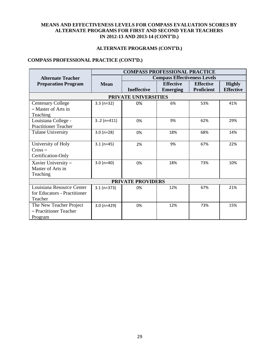# **ALTERNATE PROGRAMS (CONT'D.)**

## **COMPASS PROFESSIONAL PRACTICE (CONT'D.)**

|                              | <b>COMPASS PROFESSIONAL PRACTICE</b> |                          |                                     |                   |                  |  |  |  |  |  |
|------------------------------|--------------------------------------|--------------------------|-------------------------------------|-------------------|------------------|--|--|--|--|--|
| <b>Alternate Teacher</b>     |                                      |                          | <b>Compass Effectiveness Levels</b> |                   |                  |  |  |  |  |  |
| <b>Preparation Program</b>   | <b>Mean</b>                          |                          | <b>Effective</b>                    | <b>Effective</b>  | <b>Highly</b>    |  |  |  |  |  |
|                              |                                      | <b>Ineffective</b>       | <b>Emerging</b>                     | <b>Proficient</b> | <b>Effective</b> |  |  |  |  |  |
|                              |                                      | PRIVATE UNIVERSITIES     |                                     |                   |                  |  |  |  |  |  |
| <b>Centenary College</b>     | $3.3(n=32)$                          | 0%                       | 6%                                  | 53%               | 41%              |  |  |  |  |  |
| - Master of Arts in          |                                      |                          |                                     |                   |                  |  |  |  |  |  |
| Teaching                     |                                      |                          |                                     |                   |                  |  |  |  |  |  |
| Louisiana College -          | $32$ (n=411)                         | 0%                       | 9%                                  | 62%               | 29%              |  |  |  |  |  |
| <b>Practitioner Teacher</b>  |                                      |                          |                                     |                   |                  |  |  |  |  |  |
| <b>Tulane University</b>     | $3.0 (n=28)$                         | 0%                       | 18%                                 | 68%               | 14%              |  |  |  |  |  |
| University of Holy           | $3.1(n=45)$                          | 2%                       | 9%                                  | 67%               | 22%              |  |  |  |  |  |
| $Cross -$                    |                                      |                          |                                     |                   |                  |  |  |  |  |  |
| Certification-Only           |                                      |                          |                                     |                   |                  |  |  |  |  |  |
| Xavier University -          | $3.0 (n=40)$                         | 0%                       | 18%                                 | 73%               | 10%              |  |  |  |  |  |
| Master of Arts in            |                                      |                          |                                     |                   |                  |  |  |  |  |  |
| Teaching                     |                                      |                          |                                     |                   |                  |  |  |  |  |  |
|                              |                                      | <b>PRIVATE PROVIDERS</b> |                                     |                   |                  |  |  |  |  |  |
| Louisiana Resource Center    | $3.1(n=373)$                         | 0%                       | 12%                                 | 67%               | 21%              |  |  |  |  |  |
| for Educators - Practitioner |                                      |                          |                                     |                   |                  |  |  |  |  |  |
| Teacher                      |                                      |                          |                                     |                   |                  |  |  |  |  |  |
| The New Teacher Project      | $3.0 (n=429)$                        | 0%                       | 12%                                 | 73%               | 15%              |  |  |  |  |  |
| - Practitioner Teacher       |                                      |                          |                                     |                   |                  |  |  |  |  |  |
| Program                      |                                      |                          |                                     |                   |                  |  |  |  |  |  |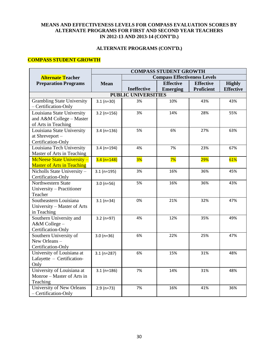## **ALTERNATE PROGRAMS (CONT'D.)**

## **COMPASS STUDENT GROWTH**

|                                                                               | <b>COMPASS STUDENT GROWTH</b> |                            |                                     |                                       |                                   |  |  |  |  |  |  |
|-------------------------------------------------------------------------------|-------------------------------|----------------------------|-------------------------------------|---------------------------------------|-----------------------------------|--|--|--|--|--|--|
| <b>Alternate Teacher</b>                                                      |                               |                            | <b>Compass Effectiveness Levels</b> |                                       |                                   |  |  |  |  |  |  |
| <b>Preparation Programs</b>                                                   | <b>Mean</b>                   |                            | <b>Effective</b><br><b>Emerging</b> | <b>Effective</b><br><b>Proficient</b> | <b>Highly</b><br><b>Effective</b> |  |  |  |  |  |  |
|                                                                               |                               | <b>PUBLIC UNIVERSITIES</b> |                                     |                                       |                                   |  |  |  |  |  |  |
| <b>Grambling State University</b><br>- Certification-Only                     | $3.1(n=30)$                   | 3%                         | 10%                                 | 43%                                   | 43%                               |  |  |  |  |  |  |
| Louisiana State University<br>and A&M College - Master<br>of Arts in Teaching | $3.2(n=156)$                  | 3%                         | 14%                                 | 28%                                   | 55%                               |  |  |  |  |  |  |
| Louisiana State University<br>at Shreveport-<br>Certification-Only            | $3.4$ (n=136)                 | 5%                         | 6%                                  | 27%                                   | 63%                               |  |  |  |  |  |  |
| Louisiana Tech University<br>Master of Arts in Teaching                       | $3.4(n=194)$                  | 4%                         | 7%                                  | 23%                                   | 67%                               |  |  |  |  |  |  |
| <b>McNeese State University -</b><br><b>Master of Arts in Teaching</b>        | $3.4 (n=148)$                 | 3%                         | 7%                                  | 29%                                   | 61%                               |  |  |  |  |  |  |
| Nicholls State University-<br>Certification-Only                              | $3.1(n=195)$                  | 3%                         | 16%                                 | 36%                                   | 45%                               |  |  |  |  |  |  |
| Northwestern State<br>University - Practitioner<br>Teacher                    | $3.0 (n=56)$                  | 5%                         | 16%                                 | 36%                                   | 43%                               |  |  |  |  |  |  |
| Southeastern Louisiana<br>University - Master of Arts<br>in Teaching          | $3.1(n=34)$                   | 0%                         | 21%                                 | 32%                                   | 47%                               |  |  |  |  |  |  |
| Southern University and<br>A&M College-<br>Certification-Only                 | $3.2(n=97)$                   | 4%                         | 12%                                 | 35%                                   | 49%                               |  |  |  |  |  |  |
| Southern University of<br>New Orleans-<br>Certification-Only                  | $3.0 (n=36)$                  | 6%                         | 22%                                 | 25%                                   | 47%                               |  |  |  |  |  |  |
| University of Louisiana at<br>Lafayette - Certification-<br>Only              | $3.1(n=287)$                  | 6%                         | 15%                                 | 31%                                   | 48%                               |  |  |  |  |  |  |
| University of Louisiana at<br>Monroe – Master of Arts in<br>Teaching          | $3.1(n=186)$                  | 7%                         | 14%                                 | 31%                                   | 48%                               |  |  |  |  |  |  |
| University of New Orleans<br>- Certification-Only                             | $2.9(n=73)$                   | 7%                         | 16%                                 | 41%                                   | 36%                               |  |  |  |  |  |  |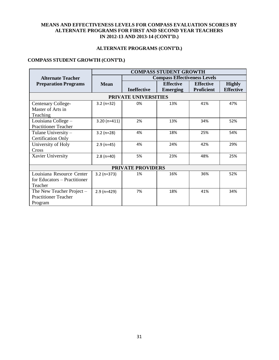## **ALTERNATE PROGRAMS (CONT'D.)**

## **COMPASS STUDENT GROWTH (CONT'D.)**

|                              | <b>COMPASS STUDENT GROWTH</b> |                          |                                     |                  |                  |  |  |  |  |  |
|------------------------------|-------------------------------|--------------------------|-------------------------------------|------------------|------------------|--|--|--|--|--|
| <b>Alternate Teacher</b>     |                               |                          | <b>Compass Effectiveness Levels</b> |                  |                  |  |  |  |  |  |
| <b>Preparation Programs</b>  | <b>Mean</b>                   |                          | <b>Effective</b>                    | <b>Effective</b> | <b>Highly</b>    |  |  |  |  |  |
|                              |                               | <b>Ineffective</b>       | <b>Emerging</b>                     | Proficient       | <b>Effective</b> |  |  |  |  |  |
| PRIVATE UNIVERSITIES         |                               |                          |                                     |                  |                  |  |  |  |  |  |
| <b>Centenary College-</b>    | $3.2$ (n=32)                  | 0%                       | 13%                                 | 41%              | 47%              |  |  |  |  |  |
| Master of Arts in            |                               |                          |                                     |                  |                  |  |  |  |  |  |
| Teaching                     |                               |                          |                                     |                  |                  |  |  |  |  |  |
| Louisiana College -          | $3.20(n=411)$                 | 2%                       | 13%                                 | 34%              | 52%              |  |  |  |  |  |
| <b>Practitioner Teacher</b>  |                               |                          |                                     |                  |                  |  |  |  |  |  |
| Tulane University -          | $3.2$ (n=28)                  | 4%                       | 18%                                 | 25%              | 54%              |  |  |  |  |  |
| <b>Certification Only</b>    |                               |                          |                                     |                  |                  |  |  |  |  |  |
| University of Holy           | $2.9$ (n=45)                  | 4%                       | 24%                                 | 42%              | 29%              |  |  |  |  |  |
| <b>Cross</b>                 |                               |                          |                                     |                  |                  |  |  |  |  |  |
| Xavier University            | $2.8(n=40)$                   | 5%                       | 23%                                 | 48%              | 25%              |  |  |  |  |  |
|                              |                               |                          |                                     |                  |                  |  |  |  |  |  |
|                              |                               | <b>PRIVATE PROVIDERS</b> |                                     |                  |                  |  |  |  |  |  |
| Louisiana Resource Center    | $3.2 (n=373)$                 | 1%                       | 16%                                 | 36%              | 52%              |  |  |  |  |  |
| for Educators – Practitioner |                               |                          |                                     |                  |                  |  |  |  |  |  |
| Teacher                      |                               |                          |                                     |                  |                  |  |  |  |  |  |
| The New Teacher Project $-$  | $2.9$ (n=429)                 | 7%                       | 18%                                 | 41%              | 34%              |  |  |  |  |  |
| <b>Practitioner Teacher</b>  |                               |                          |                                     |                  |                  |  |  |  |  |  |
| Program                      |                               |                          |                                     |                  |                  |  |  |  |  |  |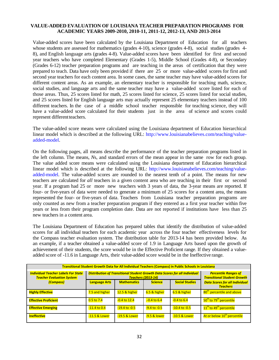#### **VALUE-ADDED EVALUATION OF LOUISIANA TEACHER PREPARATION PROGRAMS FOR ACADEMIC YEARS 2009-2010, 2010-11, 2011-12, 2012-13, AND 2013-2014**

Value-added scores have been calculated by the Louisiana Department of Education for all teachers whose students are assessed for mathematics (grades 4-10), science (grades 4-8), social studies (grades 4-8), and English language arts (grades 4-8). Value-added scores have been identified for first and second year teachers who have completed Elementary (Grades 1-5), Middle School (Grades 4-8), or Secondary (Grades 6-12) teacher preparation programs and are teaching in the areas of certification that they were prepared to teach. Data have only been provided if there are 25 or more value-added scores for first and second year teachers for each content area. In some cases, the same teacher may have value-added scores for different content areas. As an example, an elementary teacher is responsible for teaching math, science, social studies, and language arts and the same teacher may have a value-added score listed for each of those areas. Thus, 25 scores listed for math, 25 scores listed for science, 25 scores listed for social studies, and 25 scores listed for English language arts may actually represent 25 elementary teachers instead of 100 different teachers. In the case of a middle school teacher responsible for teaching science, they will have a value-added score calculated for their students just in the area of science and scores could represent different teachers.

The value-added score means were calculated using the Louisiana department of Education hierarchical linear model which is described at the following URL: [http://www.louisianabelieves.com/teaching/value](http://www.louisianabelieves.com/teaching/value-added-model)[added-model.](http://www.louisianabelieves.com/teaching/value-added-model)

On the following pages, all means describe the performance of the teacher preparation programs listed in the left column. The means, *N*s, and standard errors of the mean appear in the same row for each group. The value added score means were calculated using the Louisiana department of Education hierarchical linear model which is described at the following URL: [http://www.louisianabelieves.com/teaching/value](http://www.louisianabelieves.com/teaching/value-added-model)[added-model.](http://www.louisianabelieves.com/teaching/value-added-model) The value-added scores are rounded to the nearest tenth of a point. The means for new teachers are calculated for *all* teachers in a given content area who are teaching in their first or second year. If a program had 25 or more new teachers with 3 years of data, the 3-year means are reported. If four- or five-years of data were needed to generate a minimum of 25 scores for a content area, the means represented the four- or five-years of data. Teachers from Louisiana teacher preparation programs are only counted as new from a teacher preparation program if they entered as a first year teacher within five years or less from their program completion date. Data are not reported if institutions have less than 25 new teachers in a content area.

The Louisiana Department of Education has prepared tables that identify the distribution of value-added scores for all individual teachers for each academic year across the four teacher effectiveness levels for the Compass teacher evaluation system. The distribution table for 2013-14 has been provided below. As an example, if a teacher obtained a value-added score of 1.9 in Language Arts based upon the growth of achievement of their students, the score would be in the Effective Proficient range. If they obtained a valueadded score of -11.6 in Language Arts, their value-added score would be in the Ineffective range.

| Transitional Student Growth Data for All Individual Teachers (Compass) in Public Schools in Louisiana |                      |                                                                                                         |                                                                   |                       |                                                          |  |  |  |  |  |
|-------------------------------------------------------------------------------------------------------|----------------------|---------------------------------------------------------------------------------------------------------|-------------------------------------------------------------------|-----------------------|----------------------------------------------------------|--|--|--|--|--|
| <b>Individual Teacher Labels For State</b><br><b>Teacher Evaluation System</b>                        |                      | Distribution of Transitional Student Growth Data Scores for all Individual<br><b>Teachers (2013-14)</b> | <b>Percentile Ranges of</b><br><b>Transitional Student Growth</b> |                       |                                                          |  |  |  |  |  |
| (Compass)                                                                                             | <b>Language Arts</b> | <b>Mathematics</b>                                                                                      | <b>Science</b>                                                    | <b>Social Studies</b> | <b>Data Scores for all Individual</b><br><b>Teachers</b> |  |  |  |  |  |
| <b>Highly Effective</b>                                                                               | 7.5 and higher       | 12.5 & higher                                                                                           | 6.5 & higher                                                      | 6.5 & higher          | 80 <sup>th</sup> percentile and above                    |  |  |  |  |  |
| <b>Effective Proficient</b>                                                                           | $0.5$ to 7.4         | $-0.4$ to 12.4                                                                                          | $-0.4$ to $6.4$                                                   | $-0.4$ to $6.4$       | 50 <sup>th</sup> to 79 <sup>th</sup> percentile          |  |  |  |  |  |
| <b>Effective Emerging</b>                                                                             | $-11.4$ to 0.4       | $-19.4$ to $-0.5$                                                                                       | $-9.4$ to $-0.5$                                                  | -10.4 to -0.5         | 11 <sup>th</sup> to 49 <sup>th</sup> percentile          |  |  |  |  |  |
| <b>Ineffective</b>                                                                                    | -11.5 & Lower        | -19.5 & Lower                                                                                           | -9.5 & lower                                                      | -10.5 & Lower         | At or below 10 <sup>th</sup> percentile                  |  |  |  |  |  |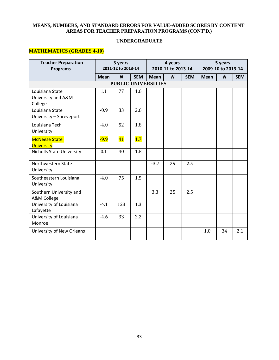#### **UNDERGRADUATE**

# **MATHEMATICS (GRADES 4-10)**

| <b>Teacher Preparation</b><br><b>Programs</b>    | 3 years<br>2011-12 to 2013-14 |                  |            | 4 years<br>2010-11 to 2013-14 |                  |            | 5 years<br>2009-10 to 2013-14 |                  |            |  |  |
|--------------------------------------------------|-------------------------------|------------------|------------|-------------------------------|------------------|------------|-------------------------------|------------------|------------|--|--|
|                                                  | <b>Mean</b>                   | $\boldsymbol{N}$ | <b>SEM</b> | <b>Mean</b>                   | $\boldsymbol{N}$ | <b>SEM</b> | <b>Mean</b>                   | $\boldsymbol{N}$ | <b>SEM</b> |  |  |
| <b>PUBLIC UNIVERSITIES</b>                       |                               |                  |            |                               |                  |            |                               |                  |            |  |  |
| Louisiana State<br>University and A&M<br>College | 1.1                           | 77               | 1.6        |                               |                  |            |                               |                  |            |  |  |
| Louisiana State<br>University - Shreveport       | $-0.9$                        | 33               | 2.6        |                               |                  |            |                               |                  |            |  |  |
| Louisiana Tech<br>University                     | $-4.0$                        | 52               | 1.8        |                               |                  |            |                               |                  |            |  |  |
| <b>McNeese State</b><br><b>University</b>        | $-9.9$                        | 41               | 1.7        |                               |                  |            |                               |                  |            |  |  |
| <b>Nicholls State University</b>                 | 0.1                           | 40               | 1.8        |                               |                  |            |                               |                  |            |  |  |
| Northwestern State<br>University                 |                               |                  |            | $-3.7$                        | 29               | 2.5        |                               |                  |            |  |  |
| Southeastern Louisiana<br>University             | $-4.0$                        | 75               | 1.5        |                               |                  |            |                               |                  |            |  |  |
| Southern University and<br>A&M College           |                               |                  |            | 3.3                           | 25               | 2.5        |                               |                  |            |  |  |
| University of Louisiana<br>Lafayette             | $-4.1$                        | 123              | 1.3        |                               |                  |            |                               |                  |            |  |  |
| University of Louisiana<br>Monroe                | $-4.6$                        | 33               | 2.2        |                               |                  |            |                               |                  |            |  |  |
| University of New Orleans                        |                               |                  |            |                               |                  |            | 1.0                           | 34               | 2.1        |  |  |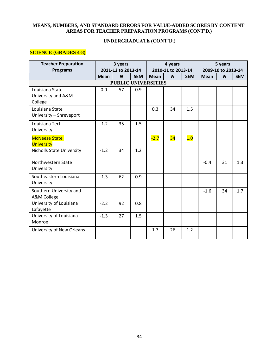# **UNDERGRADUATE (CONT'D.)**

# **SCIENCE (GRADES 4-8)**

| <b>Teacher Preparation</b>       |             | 3 years                    |            | 4 years<br>2010-11 to 2013-14 |                  |            |             | 5 years            |            |
|----------------------------------|-------------|----------------------------|------------|-------------------------------|------------------|------------|-------------|--------------------|------------|
| <b>Programs</b>                  |             | 2011-12 to 2013-14         |            |                               |                  |            |             | 2009-10 to 2013-14 |            |
|                                  | <b>Mean</b> | $\boldsymbol{N}$           | <b>SEM</b> | <b>Mean</b>                   | $\boldsymbol{N}$ | <b>SEM</b> | <b>Mean</b> | $\boldsymbol{N}$   | <b>SEM</b> |
|                                  |             | <b>PUBLIC UNIVERSITIES</b> |            |                               |                  |            |             |                    |            |
| Louisiana State                  | 0.0         | 57                         | 0.9        |                               |                  |            |             |                    |            |
| University and A&M               |             |                            |            |                               |                  |            |             |                    |            |
| College                          |             |                            |            |                               |                  |            |             |                    |            |
| Louisiana State                  |             |                            |            | 0.3                           | 34               | 1.5        |             |                    |            |
| University - Shreveport          |             |                            |            |                               |                  |            |             |                    |            |
| Louisiana Tech                   | $-1.2$      | 35                         | 1.5        |                               |                  |            |             |                    |            |
| University                       |             |                            |            |                               |                  |            |             |                    |            |
| <b>McNeese State</b>             |             |                            |            | $-2.7$                        | 34               | 1.0        |             |                    |            |
| <b>University</b>                |             |                            |            |                               |                  |            |             |                    |            |
| <b>Nicholls State University</b> | $-1.2$      | 34                         | 1.2        |                               |                  |            |             |                    |            |
| Northwestern State               |             |                            |            |                               |                  |            | $-0.4$      | 31                 | 1.3        |
| University                       |             |                            |            |                               |                  |            |             |                    |            |
| Southeastern Louisiana           | $-1.3$      | 62                         | 0.9        |                               |                  |            |             |                    |            |
| University                       |             |                            |            |                               |                  |            |             |                    |            |
| Southern University and          |             |                            |            |                               |                  |            | $-1.6$      | 34                 | 1.7        |
| A&M College                      |             |                            |            |                               |                  |            |             |                    |            |
| University of Louisiana          | $-2.2$      | 92                         | 0.8        |                               |                  |            |             |                    |            |
| Lafayette                        |             |                            |            |                               |                  |            |             |                    |            |
| University of Louisiana          | $-1.3$      | 27                         | 1.5        |                               |                  |            |             |                    |            |
| Monroe                           |             |                            |            |                               |                  |            |             |                    |            |
| University of New Orleans        |             |                            |            | 1.7                           | 26               | 1.2        |             |                    |            |
|                                  |             |                            |            |                               |                  |            |             |                    |            |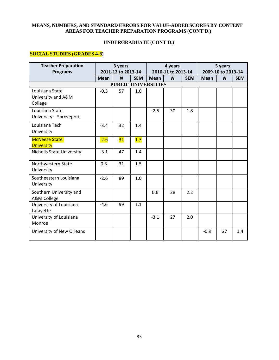# **UNDERGRADUATE (CONT'D.)**

# **SOCIAL STUDIES (GRADES 4-8)**

| <b>Teacher Preparation</b><br><b>Programs</b>    |             | 3 years<br>2011-12 to 2013-14 |            | 4 years<br>2010-11 to 2013-14 |                  |            | 5 years<br>2009-10 to 2013-14 |                  |            |  |
|--------------------------------------------------|-------------|-------------------------------|------------|-------------------------------|------------------|------------|-------------------------------|------------------|------------|--|
|                                                  | <b>Mean</b> | $\boldsymbol{N}$              | <b>SEM</b> | <b>Mean</b>                   | $\boldsymbol{N}$ | <b>SEM</b> | <b>Mean</b>                   | $\boldsymbol{N}$ | <b>SEM</b> |  |
| <b>PUBLIC UNIVERSITIES</b>                       |             |                               |            |                               |                  |            |                               |                  |            |  |
| Louisiana State<br>University and A&M<br>College | $-0.3$      | 57                            | 1.0        |                               |                  |            |                               |                  |            |  |
| Louisiana State<br>University - Shreveport       |             |                               |            | $-2.5$                        | 30               | 1.8        |                               |                  |            |  |
| Louisiana Tech<br>University                     | $-3.4$      | 32                            | 1.4        |                               |                  |            |                               |                  |            |  |
| <b>McNeese State</b><br><b>University</b>        | $-2.6$      | 31                            | 1.3        |                               |                  |            |                               |                  |            |  |
| <b>Nicholls State University</b>                 | $-3.1$      | 47                            | 1.4        |                               |                  |            |                               |                  |            |  |
| Northwestern State<br>University                 | 0.3         | 31                            | 1.5        |                               |                  |            |                               |                  |            |  |
| Southeastern Louisiana<br>University             | $-2.6$      | 89                            | 1.0        |                               |                  |            |                               |                  |            |  |
| Southern University and<br>A&M College           |             |                               |            | 0.6                           | 28               | 2.2        |                               |                  |            |  |
| University of Louisiana<br>Lafayette             | $-4.6$      | 99                            | 1.1        |                               |                  |            |                               |                  |            |  |
| University of Louisiana<br>Monroe                |             |                               |            | $-3.1$                        | 27               | 2.0        |                               |                  |            |  |
| University of New Orleans                        |             |                               |            |                               |                  |            | $-0.9$                        | 27               | 1.4        |  |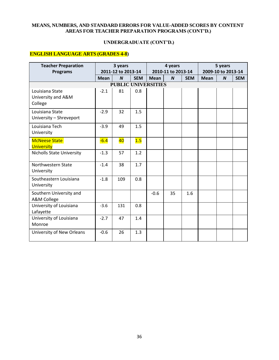# **UNDERGRADUATE (CONT'D.)**

# **ENGLISH LANGUAGE ARTS (GRADES 4-8)**

| <b>Teacher Preparation</b>                       |             | 3 years                                |            | 4 years<br>2010-11 to 2013-14 |                  |            | 5 years<br>2009-10 to 2013-14 |                  |            |
|--------------------------------------------------|-------------|----------------------------------------|------------|-------------------------------|------------------|------------|-------------------------------|------------------|------------|
| <b>Programs</b>                                  | <b>Mean</b> | 2011-12 to 2013-14<br>$\boldsymbol{N}$ | <b>SEM</b> | <b>Mean</b>                   | $\boldsymbol{N}$ | <b>SEM</b> | <b>Mean</b>                   | $\boldsymbol{N}$ | <b>SEM</b> |
|                                                  |             | <b>PUBLIC UNIVERSITIES</b>             |            |                               |                  |            |                               |                  |            |
| Louisiana State<br>University and A&M<br>College | $-2.1$      | 81                                     | 0.8        |                               |                  |            |                               |                  |            |
| Louisiana State<br>University - Shreveport       | $-2.9$      | 32                                     | 1.5        |                               |                  |            |                               |                  |            |
| Louisiana Tech<br>University                     | $-3.9$      | 49                                     | 1.5        |                               |                  |            |                               |                  |            |
| <b>McNeese State</b><br><b>University</b>        | $-6.4$      | 40                                     | 1.5        |                               |                  |            |                               |                  |            |
| <b>Nicholls State University</b>                 | $-1.3$      | 57                                     | 1.2        |                               |                  |            |                               |                  |            |
| Northwestern State<br>University                 | $-1.4$      | 38                                     | 1.7        |                               |                  |            |                               |                  |            |
| Southeastern Louisiana<br>University             | $-1.8$      | 109                                    | 0.8        |                               |                  |            |                               |                  |            |
| Southern University and<br>A&M College           |             |                                        |            | $-0.6$                        | 35               | 1.6        |                               |                  |            |
| University of Louisiana<br>Lafayette             | $-3.6$      | 131                                    | 0.8        |                               |                  |            |                               |                  |            |
| University of Louisiana<br>Monroe                | $-2.7$      | 47                                     | 1.4        |                               |                  |            |                               |                  |            |
| University of New Orleans                        | $-0.6$      | 26                                     | 1.3        |                               |                  |            |                               |                  |            |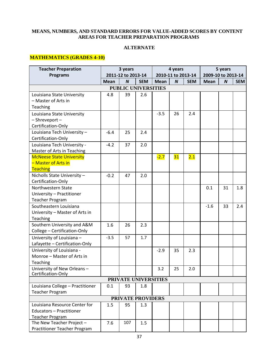#### **ALTERNATE**

# **MATHEMATICS (GRADES 4-10)**

|                                                                                                               | 5 years            |            |  |
|---------------------------------------------------------------------------------------------------------------|--------------------|------------|--|
| <b>Programs</b><br>2011-12 to 2013-14<br>2010-11 to 2013-14                                                   | 2009-10 to 2013-14 |            |  |
| $\boldsymbol{N}$<br><b>SEM</b><br>$\boldsymbol{N}$<br><b>Mean</b><br><b>Mean</b><br><b>SEM</b><br><b>Mean</b> | $\boldsymbol{N}$   | <b>SEM</b> |  |
| <b>PUBLIC UNIVERSITIES</b>                                                                                    |                    |            |  |
| 4.8<br>39<br>2.6<br>Louisiana State University                                                                |                    |            |  |
| - Master of Arts in                                                                                           |                    |            |  |
| Teaching                                                                                                      |                    |            |  |
| $-3.5$<br>2.4<br>26<br>Louisiana State University                                                             |                    |            |  |
| - Shreveport -                                                                                                |                    |            |  |
| Certification-Only                                                                                            |                    |            |  |
| Louisiana Tech University -<br>$-6.4$<br>25<br>2.4                                                            |                    |            |  |
| Certification-Only                                                                                            |                    |            |  |
| Louisiana Tech University -<br>2.0<br>$-4.2$<br>37                                                            |                    |            |  |
| Master of Arts in Teaching                                                                                    |                    |            |  |
| <b>McNeese State University</b><br>31<br>2.1<br>$-2.7$                                                        |                    |            |  |
| - Master of Arts in                                                                                           |                    |            |  |
| Teaching                                                                                                      |                    |            |  |
| Nicholls State University -<br>$-0.2$<br>47<br>2.0                                                            |                    |            |  |
| Certification-Only                                                                                            |                    |            |  |
| Northwestern State<br>0.1                                                                                     | 31                 | 1.8        |  |
| University - Practitioner                                                                                     |                    |            |  |
| <b>Teacher Program</b>                                                                                        |                    |            |  |
| Southeastern Louisiana<br>$-1.6$                                                                              | 33                 | 2.4        |  |
| University - Master of Arts in                                                                                |                    |            |  |
| Teaching<br>Southern University and A&M<br>2.3                                                                |                    |            |  |
| 1.6<br>26<br>College - Certification-Only                                                                     |                    |            |  |
| University of Louisiana -<br>1.7<br>$-3.5$<br>57                                                              |                    |            |  |
| Lafayette - Certification-Only                                                                                |                    |            |  |
| University of Louisiana -<br>2.3<br>$-2.9$<br>35                                                              |                    |            |  |
| Monroe - Master of Arts in                                                                                    |                    |            |  |
| Teaching                                                                                                      |                    |            |  |
| 3.2<br>25<br>University of New Orleans-<br>2.0                                                                |                    |            |  |
| Certification-Only                                                                                            |                    |            |  |
| PRIVATE UNIVERSITIES                                                                                          |                    |            |  |
| Louisiana College - Practitioner<br>0.1<br>93<br>1.8                                                          |                    |            |  |
| <b>Teacher Program</b>                                                                                        |                    |            |  |
| PRIVATE PROVIDERS                                                                                             |                    |            |  |
| Louisiana Resource Center for<br>1.5<br>95<br>1.3                                                             |                    |            |  |
| <b>Educators - Practitioner</b>                                                                               |                    |            |  |
| <b>Teacher Program</b><br>The New Teacher Project -<br>107<br>7.6<br>1.5                                      |                    |            |  |
| Practitioner Teacher Program                                                                                  |                    |            |  |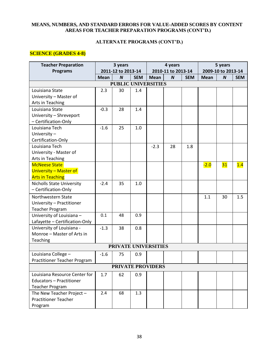# **ALTERNATE PROGRAMS (CONT'D.)**

## **SCIENCE (GRADES 4-8)**

| <b>Teacher Preparation</b>       | 3 years<br>4 years |                            |            |             |                    | 5 years    |             |                    |            |
|----------------------------------|--------------------|----------------------------|------------|-------------|--------------------|------------|-------------|--------------------|------------|
| <b>Programs</b>                  |                    | 2011-12 to 2013-14         |            |             | 2010-11 to 2013-14 |            |             | 2009-10 to 2013-14 |            |
|                                  | <b>Mean</b>        | $\boldsymbol{N}$           | <b>SEM</b> | <b>Mean</b> | $\boldsymbol{N}$   | <b>SEM</b> | <b>Mean</b> | $\boldsymbol{N}$   | <b>SEM</b> |
|                                  |                    | <b>PUBLIC UNIVERSITIES</b> |            |             |                    |            |             |                    |            |
| Louisiana State                  | 2.3                | 30                         | 1.4        |             |                    |            |             |                    |            |
| University - Master of           |                    |                            |            |             |                    |            |             |                    |            |
| Arts in Teaching                 |                    |                            |            |             |                    |            |             |                    |            |
| Louisiana State                  | $-0.3$             | 28                         | 1.4        |             |                    |            |             |                    |            |
| University - Shreveport          |                    |                            |            |             |                    |            |             |                    |            |
| - Certification-Only             |                    |                            |            |             |                    |            |             |                    |            |
| Louisiana Tech                   | $-1.6$             | 25                         | 1.0        |             |                    |            |             |                    |            |
| University-                      |                    |                            |            |             |                    |            |             |                    |            |
| Certification-Only               |                    |                            |            |             |                    |            |             |                    |            |
| Louisiana Tech                   |                    |                            |            | $-2.3$      | 28                 | 1.8        |             |                    |            |
| University - Master of           |                    |                            |            |             |                    |            |             |                    |            |
| Arts in Teaching                 |                    |                            |            |             |                    |            |             |                    |            |
| <b>McNeese State</b>             |                    |                            |            |             |                    |            | $-2.0$      | 31                 | 1.4        |
| University - Master of           |                    |                            |            |             |                    |            |             |                    |            |
| <b>Arts in Teaching</b>          |                    |                            |            |             |                    |            |             |                    |            |
| <b>Nicholls State University</b> | $-2.4$             | 35                         | 1.0        |             |                    |            |             |                    |            |
| - Certification-Only             |                    |                            |            |             |                    |            |             |                    |            |
| Northwestern State               |                    |                            |            |             |                    |            | 1.1         | 30                 | 1.5        |
| University - Practitioner        |                    |                            |            |             |                    |            |             |                    |            |
| <b>Teacher Program</b>           |                    |                            |            |             |                    |            |             |                    |            |
| University of Louisiana -        | 0.1                | 48                         | 0.9        |             |                    |            |             |                    |            |
| Lafayette - Certification-Only   |                    |                            |            |             |                    |            |             |                    |            |
| University of Louisiana -        | $-1.3$             | 38                         | 0.8        |             |                    |            |             |                    |            |
| Monroe - Master of Arts in       |                    |                            |            |             |                    |            |             |                    |            |
| Teaching                         |                    |                            |            |             |                    |            |             |                    |            |
|                                  |                    | PRIVATE UNIVERSITIES       |            |             |                    |            |             |                    |            |
| Louisiana College -              | $-1.6$             | 75                         | 0.9        |             |                    |            |             |                    |            |
| Practitioner Teacher Program     |                    |                            |            |             |                    |            |             |                    |            |
|                                  |                    | <b>PRIVATE PROVIDERS</b>   |            |             |                    |            |             |                    |            |
| Louisiana Resource Center for    | 1.7                | 62                         | 0.9        |             |                    |            |             |                    |            |
| <b>Educators - Practitioner</b>  |                    |                            |            |             |                    |            |             |                    |            |
| <b>Teacher Program</b>           |                    |                            |            |             |                    |            |             |                    |            |
| The New Teacher Project -        | 2.4                | 68                         | 1.3        |             |                    |            |             |                    |            |
| <b>Practitioner Teacher</b>      |                    |                            |            |             |                    |            |             |                    |            |
| Program                          |                    |                            |            |             |                    |            |             |                    |            |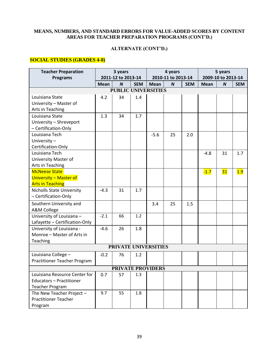# **ALTERNATE (CONT'D.)**

## **SOCIAL STUDIES (GRADES 4-8)**

| <b>Teacher Preparation</b>       |             | 3 years            |            |                            | 4 years            |            | 5 years     |                    |            |
|----------------------------------|-------------|--------------------|------------|----------------------------|--------------------|------------|-------------|--------------------|------------|
| <b>Programs</b>                  |             | 2011-12 to 2013-14 |            |                            | 2010-11 to 2013-14 |            |             | 2009-10 to 2013-14 |            |
|                                  | <b>Mean</b> | $\boldsymbol{N}$   | <b>SEM</b> | <b>Mean</b>                | $\boldsymbol{N}$   | <b>SEM</b> | <b>Mean</b> | $\boldsymbol{N}$   | <b>SEM</b> |
|                                  |             |                    |            | <b>PUBLIC UNIVERSITIES</b> |                    |            |             |                    |            |
| Louisiana State                  | 4.2         | 34                 | 1.4        |                            |                    |            |             |                    |            |
| University - Master of           |             |                    |            |                            |                    |            |             |                    |            |
| Arts in Teaching                 |             |                    |            |                            |                    |            |             |                    |            |
| Louisiana State                  | 1.3         | 34                 | 1.7        |                            |                    |            |             |                    |            |
| University - Shreveport          |             |                    |            |                            |                    |            |             |                    |            |
| - Certification-Only             |             |                    |            |                            |                    |            |             |                    |            |
| Louisiana Tech                   |             |                    |            | $-5.6$                     | 25                 | 2.0        |             |                    |            |
| University-                      |             |                    |            |                            |                    |            |             |                    |            |
| Certification-Only               |             |                    |            |                            |                    |            |             |                    |            |
| Louisiana Tech                   |             |                    |            |                            |                    |            | $-4.8$      | 31                 | 1.7        |
| <b>University Master of</b>      |             |                    |            |                            |                    |            |             |                    |            |
| Arts in Teaching                 |             |                    |            |                            |                    |            |             |                    |            |
| <b>McNeese State</b>             |             |                    |            |                            |                    |            | $-1.7$      | 31                 | 1.9        |
| University - Master of           |             |                    |            |                            |                    |            |             |                    |            |
| <b>Arts in Teaching</b>          |             |                    |            |                            |                    |            |             |                    |            |
| <b>Nicholls State University</b> | $-4.3$      | 31                 | 1.7        |                            |                    |            |             |                    |            |
| - Certification-Only             |             |                    |            |                            |                    |            |             |                    |            |
| Southern University and          |             |                    |            | 3.4                        | 25                 | 1.5        |             |                    |            |
| A&M College                      |             |                    |            |                            |                    |            |             |                    |            |
| University of Louisiana -        | $-2.1$      | 66                 | 1.2        |                            |                    |            |             |                    |            |
| Lafayette - Certification-Only   |             |                    |            |                            |                    |            |             |                    |            |
| University of Louisiana -        | $-4.6$      | 26                 | 1.8        |                            |                    |            |             |                    |            |
| Monroe - Master of Arts in       |             |                    |            |                            |                    |            |             |                    |            |
| Teaching                         |             |                    |            |                            |                    |            |             |                    |            |
|                                  |             |                    |            | PRIVATE UNIVERSITIES       |                    |            |             |                    |            |
| Louisiana College -              | $-0.2$      | 76                 | 1.2        |                            |                    |            |             |                    |            |
| Practitioner Teacher Program     |             |                    |            |                            |                    |            |             |                    |            |
|                                  |             |                    |            | <b>PRIVATE PROVIDERS</b>   |                    |            |             |                    |            |
| Louisiana Resource Center for    | 0.7         | 57                 | 1.3        |                            |                    |            |             |                    |            |
| <b>Educators - Practitioner</b>  |             |                    |            |                            |                    |            |             |                    |            |
| <b>Teacher Program</b>           |             |                    |            |                            |                    |            |             |                    |            |
| The New Teacher Project -        | 9.7         | 55                 | 1.8        |                            |                    |            |             |                    |            |
| <b>Practitioner Teacher</b>      |             |                    |            |                            |                    |            |             |                    |            |
| Program                          |             |                    |            |                            |                    |            |             |                    |            |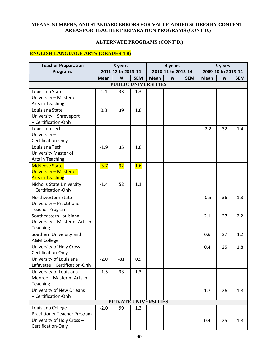# **ALTERNATE PROGRAMS (CONT'D.)**

# **ENGLISH LANGUAGE ARTS (GRADES 4-8)**

| <b>Teacher Preparation</b>          | 3 years     |                            |            |             | 4 years            |            | 5 years     |                    |            |
|-------------------------------------|-------------|----------------------------|------------|-------------|--------------------|------------|-------------|--------------------|------------|
| <b>Programs</b>                     |             | 2011-12 to 2013-14         |            |             | 2010-11 to 2013-14 |            |             | 2009-10 to 2013-14 |            |
|                                     | <b>Mean</b> | $\boldsymbol{N}$           | <b>SEM</b> | <b>Mean</b> | $\boldsymbol{N}$   | <b>SEM</b> | <b>Mean</b> | $\boldsymbol{N}$   | <b>SEM</b> |
|                                     |             | <b>PUBLIC UNIVERSITIES</b> |            |             |                    |            |             |                    |            |
| Louisiana State                     | 1.4         | 33                         | 1.3        |             |                    |            |             |                    |            |
| University - Master of              |             |                            |            |             |                    |            |             |                    |            |
| Arts in Teaching                    |             |                            |            |             |                    |            |             |                    |            |
| Louisiana State                     | 0.3         | 39                         | 1.6        |             |                    |            |             |                    |            |
| University - Shreveport             |             |                            |            |             |                    |            |             |                    |            |
| - Certification-Only                |             |                            |            |             |                    |            |             |                    |            |
| Louisiana Tech                      |             |                            |            |             |                    |            | $-2.2$      | 32                 | 1.4        |
| University-                         |             |                            |            |             |                    |            |             |                    |            |
| Certification-Only                  |             |                            |            |             |                    |            |             |                    |            |
| Louisiana Tech                      | $-1.9$      | 35                         | 1.6        |             |                    |            |             |                    |            |
| University Master of                |             |                            |            |             |                    |            |             |                    |            |
| Arts in Teaching                    |             |                            |            |             |                    |            |             |                    |            |
| <b>McNeese State</b>                | $-3.7$      | 32                         | 1.6        |             |                    |            |             |                    |            |
| University - Master of              |             |                            |            |             |                    |            |             |                    |            |
| <b>Arts in Teaching</b>             |             |                            |            |             |                    |            |             |                    |            |
| <b>Nicholls State University</b>    | $-1.4$      | 52                         | 1.1        |             |                    |            |             |                    |            |
| - Certification-Only                |             |                            |            |             |                    |            |             |                    |            |
| Northwestern State                  |             |                            |            |             |                    |            | $-0.5$      | 36                 | 1.8        |
| University - Practitioner           |             |                            |            |             |                    |            |             |                    |            |
| <b>Teacher Program</b>              |             |                            |            |             |                    |            |             |                    |            |
| Southeastern Louisiana              |             |                            |            |             |                    |            | 2.1         | 27                 | 2.2        |
| University - Master of Arts in      |             |                            |            |             |                    |            |             |                    |            |
| Teaching                            |             |                            |            |             |                    |            |             |                    |            |
| Southern University and             |             |                            |            |             |                    |            | 0.6         | 27                 | 1.2        |
| A&M College                         |             |                            |            |             |                    |            |             |                    |            |
| University of Holy Cross -          |             |                            |            |             |                    |            | 0.4         | 25                 | 1.8        |
| Certification-Only                  |             |                            |            |             |                    |            |             |                    |            |
| University of Louisiana -           | $-2.0$      | $-81$                      | 0.9        |             |                    |            |             |                    |            |
| Lafayette - Certification-Only      |             |                            |            |             |                    |            |             |                    |            |
| University of Louisiana -           | $-1.5$      | 33                         | 1.3        |             |                    |            |             |                    |            |
| Monroe - Master of Arts in          |             |                            |            |             |                    |            |             |                    |            |
| Teaching                            |             |                            |            |             |                    |            |             |                    |            |
| University of New Orleans           |             |                            |            |             |                    |            | 1.7         | 26                 | 1.8        |
| - Certification-Only                |             |                            |            |             |                    |            |             |                    |            |
|                                     |             | PRIVATE UNIVERSITIES       |            |             |                    |            |             |                    |            |
| Louisiana College -                 | $-2.0$      | 99                         | 1.3        |             |                    |            |             |                    |            |
| <b>Practitioner Teacher Program</b> |             |                            |            |             |                    |            |             |                    |            |
| University of Holy Cross -          |             |                            |            |             |                    |            | 0.4         | 25                 | 1.8        |
| Certification-Only                  |             |                            |            |             |                    |            |             |                    |            |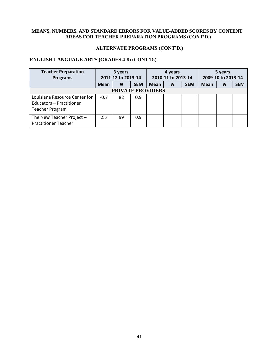# **ALTERNATE PROGRAMS (CONT'D.)**

# **ENGLISH LANGUAGE ARTS (GRADES 4-8) (CONT'D.)**

| <b>Teacher Preparation</b><br><b>Programs</b>                                       |             | 3 years<br>2011-12 to 2013-14 |            |      | 4 years<br>2010-11 to 2013-14 |            |             | 5 years<br>2009-10 to 2013-14 |            |
|-------------------------------------------------------------------------------------|-------------|-------------------------------|------------|------|-------------------------------|------------|-------------|-------------------------------|------------|
|                                                                                     | <b>Mean</b> | N                             | <b>SEM</b> | Mean | <sub>N</sub>                  | <b>SEM</b> | <b>Mean</b> | N                             | <b>SEM</b> |
|                                                                                     |             | <b>PRIVATE PROVIDERS</b>      |            |      |                               |            |             |                               |            |
| Louisiana Resource Center for<br>Educators - Practitioner<br><b>Teacher Program</b> | $-0.7$      | 82                            | 0.9        |      |                               |            |             |                               |            |
| The New Teacher Project $-$<br><b>Practitioner Teacher</b>                          | 2.5         | 99                            | 0.9        |      |                               |            |             |                               |            |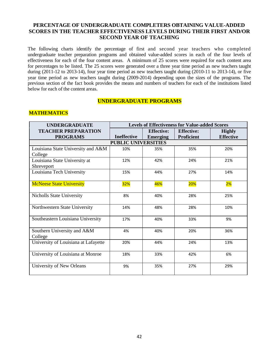# **PERCENTAGE OF UNDERGRADUATE COMPLETERS OBTAINING VALUE-ADDED SCORES IN THE TEACHER EFFECTIVENESS LEVELS DURING THEIR FIRST AND/OR SECOND YEAR OF TEACHING**

The following charts identify the percentage of first and second year teachers who completed undergraduate teacher preparation programs and obtained value-added scores in each of the four levels of effectiveness for each of the four content areas. A minimum of 25 scores were required for each content area for percentages to be listed. The 25 scores were generated over a three year time period as new teachers taught during (2011-12 to 2013-14), four year time period as new teachers taught during (2010-11 to 2013-14), or five year time period as new teachers taught during (2009-2014) depending upon the sizes of the programs. The previous section of the fact book provides the means and numbers of teachers for each of the institutions listed below for each of the content areas.

## **UNDERGRADUATE PROGRAMS**

## **MATHEMATICS**

| <b>UNDERGRADUATE</b>                 | <b>Levels of Effectiveness for Value-added Scores</b> |                   |                   |                  |  |  |
|--------------------------------------|-------------------------------------------------------|-------------------|-------------------|------------------|--|--|
| <b>TEACHER PREPARATION</b>           |                                                       | <b>Effective:</b> | <b>Effective:</b> | <b>Highly</b>    |  |  |
| <b>PROGRAMS</b>                      | <b>Ineffective</b>                                    | <b>Emerging</b>   | <b>Proficient</b> | <b>Effective</b> |  |  |
|                                      | <b>PUBLIC UNIVERSITIES</b>                            |                   |                   |                  |  |  |
| Louisiana State University and A&M   | 10%                                                   | 35%               | 35%               | 20%              |  |  |
| College                              |                                                       |                   |                   |                  |  |  |
| Louisiana State University at        | 12%                                                   | 42%               | 24%               | 21%              |  |  |
| Shreveport                           |                                                       |                   |                   |                  |  |  |
| Louisiana Tech University            | 15%                                                   | 44%               | 27%               | 14%              |  |  |
|                                      |                                                       |                   |                   |                  |  |  |
| <b>McNeese State University</b>      | <b>32%</b>                                            | 46%               | <b>20%</b>        | 2%               |  |  |
|                                      |                                                       |                   |                   |                  |  |  |
| Nicholls State University            | 8%                                                    | 40%               | 28%               | 25%              |  |  |
|                                      |                                                       |                   |                   |                  |  |  |
| Northwestern State University        | 14%                                                   | 48%               | 28%               | 10%              |  |  |
|                                      |                                                       |                   |                   |                  |  |  |
| Southeastern Louisiana University    | 17%                                                   | 40%               | 33%               | 9%               |  |  |
|                                      |                                                       |                   |                   |                  |  |  |
| Southern University and A&M          | 4%                                                    | 40%               | 20%               | 36%              |  |  |
| College                              |                                                       |                   |                   |                  |  |  |
| University of Louisiana at Lafayette | 20%                                                   | 44%               | 24%               | 13%              |  |  |
|                                      |                                                       |                   |                   |                  |  |  |
| University of Louisiana at Monroe    | 18%                                                   | 33%               | 42%               | 6%               |  |  |
|                                      |                                                       |                   |                   |                  |  |  |
| University of New Orleans            | 9%                                                    | 35%               | 27%               | 29%              |  |  |
|                                      |                                                       |                   |                   |                  |  |  |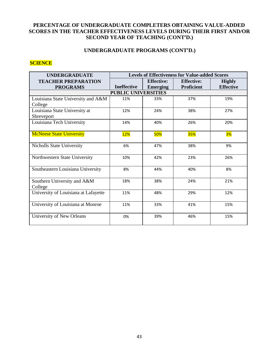# **PERCENTAGE OF UNDERGRADUATE COMPLETERS OBTAINING VALUE-ADDED SCORES IN THE TEACHER EFFECTIVENESS LEVELS DURING THEIR FIRST AND/OR SECOND YEAR OF TEACHING (CONT'D.)**

## **UNDERGRADUATE PROGRAMS (CONT'D.)**

#### **SCIENCE**

| <b>UNDERGRADUATE</b>                            | <b>Levels of Effectiveness for Value-added Scores</b> |                   |                   |                  |  |  |
|-------------------------------------------------|-------------------------------------------------------|-------------------|-------------------|------------------|--|--|
| <b>TEACHER PREPARATION</b>                      |                                                       | <b>Effective:</b> | <b>Effective:</b> | <b>Highly</b>    |  |  |
| <b>PROGRAMS</b>                                 | <b>Ineffective</b>                                    | <b>Emerging</b>   | <b>Proficient</b> | <b>Effective</b> |  |  |
|                                                 | <b>PUBLIC UNIVERSITIES</b>                            |                   |                   |                  |  |  |
| Louisiana State University and A&M              | 11%                                                   | 33%               | 37%               | 19%              |  |  |
| College                                         |                                                       |                   |                   |                  |  |  |
| Louisiana State University at                   | 12%                                                   | 24%               | 38%               | 27%              |  |  |
| Shreveport                                      |                                                       |                   |                   |                  |  |  |
| Louisiana Tech University                       | 14%                                                   | 40%               | 26%               | 20%              |  |  |
|                                                 |                                                       |                   |                   |                  |  |  |
| <b>McNeese State University</b>                 | <b>12%</b>                                            | <b>50%</b>        | <b>35%</b>        | 3%               |  |  |
|                                                 |                                                       |                   |                   |                  |  |  |
| <b>Nicholls State University</b>                | 6%                                                    | 47%               | 38%               | 9%               |  |  |
|                                                 |                                                       |                   |                   |                  |  |  |
| Northwestern State University                   | 10%                                                   | 42%               | 23%               | 26%              |  |  |
|                                                 |                                                       |                   |                   |                  |  |  |
| Southeastern Louisiana University               | 8%                                                    | 44%               | 40%               | 8%               |  |  |
|                                                 |                                                       |                   |                   |                  |  |  |
| Southern University and A&M                     | 18%                                                   | 38%               | 24%               | 21%              |  |  |
| College<br>University of Louisiana at Lafayette | 11%                                                   | 48%               | 29%               | 12%              |  |  |
|                                                 |                                                       |                   |                   |                  |  |  |
| University of Louisiana at Monroe               | 11%                                                   | 33%               | 41%               | 15%              |  |  |
|                                                 |                                                       |                   |                   |                  |  |  |
| University of New Orleans                       | 0%                                                    | 39%               | 46%               | 15%              |  |  |
|                                                 |                                                       |                   |                   |                  |  |  |
|                                                 |                                                       |                   |                   |                  |  |  |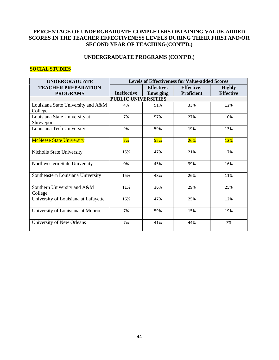# **PERCENTAGE OF UNDERGRADUATE COMPLETERS OBTAINING VALUE-ADDED SCORES IN THE TEACHER EFFECTIVENESS LEVELS DURING THEIR FIRSTAND/OR SECOND YEAR OF TEACHING(CONT'D.)**

# **UNDERGRADUATE PROGRAMS (CONT'D.)**

## **SOCIAL STUDIES**

| <b>UNDERGRADUATE</b>                          | <b>Levels of Effectiveness for Value-added Scores</b> |                   |                   |                  |  |  |
|-----------------------------------------------|-------------------------------------------------------|-------------------|-------------------|------------------|--|--|
| <b>TEACHER PREPARATION</b>                    |                                                       | <b>Effective:</b> | <b>Effective:</b> | <b>Highly</b>    |  |  |
| <b>PROGRAMS</b>                               | <b>Ineffective</b>                                    | <b>Emerging</b>   | <b>Proficient</b> | <b>Effective</b> |  |  |
|                                               | <b>PUBLIC UNIVERSITIES</b>                            |                   |                   |                  |  |  |
| Louisiana State University and A&M<br>College | 4%                                                    | 51%               | 33%               | 12%              |  |  |
| Louisiana State University at<br>Shreveport   | 7%                                                    | 57%               | 27%               | 10%              |  |  |
| Louisiana Tech University                     | 9%                                                    | 59%               | 19%               | 13%              |  |  |
| <b>McNeese State University</b>               | 7%                                                    | <b>55%</b>        | 26%               | <b>13%</b>       |  |  |
| Nicholls State University                     | 15%                                                   | 47%               | 21%               | 17%              |  |  |
| Northwestern State University                 | 0%                                                    | 45%               | 39%               | 16%              |  |  |
| Southeastern Louisiana University             | 15%                                                   | 48%               | 26%               | 11%              |  |  |
| Southern University and A&M<br>College        | 11%                                                   | 36%               | 29%               | 25%              |  |  |
| University of Louisiana at Lafayette          | 16%                                                   | 47%               | 25%               | 12%              |  |  |
| University of Louisiana at Monroe             | 7%                                                    | 59%               | 15%               | 19%              |  |  |
| University of New Orleans                     | 7%                                                    | 41%               | 44%               | 7%               |  |  |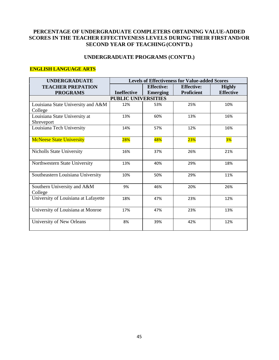# **PERCENTAGE OF UNDERGRADUATE COMPLETERS OBTAINING VALUE-ADDED SCORES IN THE TEACHER EFFECTIVENESS LEVELS DURING THEIR FIRSTAND/OR SECOND YEAR OF TEACHING(CONT'D.)**

# **UNDERGRADUATE PROGRAMS (CONT'D.)**

## **ENGLISH LANGUAGE ARTS**

| <b>UNDERGRADUATE</b>                 | <b>Levels of Effectiveness for Value-added Scores</b> |                   |                   |                  |  |  |
|--------------------------------------|-------------------------------------------------------|-------------------|-------------------|------------------|--|--|
| <b>TEACHER PREPATION</b>             |                                                       | <b>Effective:</b> | <b>Effective:</b> | <b>Highly</b>    |  |  |
| <b>PROGRAMS</b>                      | <b>Ineffective</b>                                    | <b>Emerging</b>   | <b>Proficient</b> | <b>Effective</b> |  |  |
|                                      | <b>PUBLIC UNIVERSITIES</b>                            |                   |                   |                  |  |  |
| Louisiana State University and A&M   | 12%                                                   | 53%               | 25%               | 10%              |  |  |
| College                              |                                                       |                   |                   |                  |  |  |
| Louisiana State University at        | 13%                                                   | 60%               | 13%               | 16%              |  |  |
| Shreveport                           |                                                       |                   |                   |                  |  |  |
| Louisiana Tech University            | 14%                                                   | 57%               | 12%               | 16%              |  |  |
|                                      |                                                       |                   |                   |                  |  |  |
| <b>McNeese State University</b>      | <b>28%</b>                                            | 48%               | <b>23%</b>        | 3%               |  |  |
| <b>Nicholls State University</b>     | 16%                                                   | 37%               | 26%               | 21%              |  |  |
|                                      |                                                       |                   |                   |                  |  |  |
| Northwestern State University        | 13%                                                   | 40%               | 29%               | 18%              |  |  |
|                                      |                                                       |                   |                   |                  |  |  |
| Southeastern Louisiana University    | 10%                                                   | 50%               | 29%               | 11%              |  |  |
|                                      |                                                       |                   |                   |                  |  |  |
| Southern University and A&M          | 9%                                                    | 46%               | 20%               | 26%              |  |  |
| College                              |                                                       |                   |                   |                  |  |  |
| University of Louisiana at Lafayette | 18%                                                   | 47%               | 23%               | 12%              |  |  |
|                                      |                                                       |                   |                   |                  |  |  |
| University of Louisiana at Monroe    | 17%                                                   | 47%               | 23%               | 13%              |  |  |
|                                      |                                                       |                   |                   |                  |  |  |
| University of New Orleans            | 8%                                                    | 39%               | 42%               | 12%              |  |  |
|                                      |                                                       |                   |                   |                  |  |  |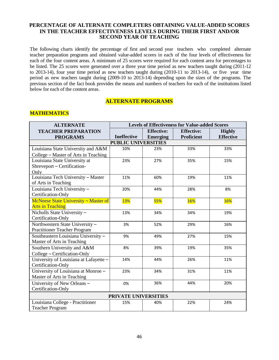## **PERCENTAGE OF ALTERNATE COMPLETERS OBTAINING VALUE-ADDED SCORES IN THE TEACHER EFFECTIVENESS LEVELS DURING THEIR FIRST AND/OR SECOND YEAR OF TEACHING**

The following charts identify the percentage of first and second year teachers who completed alternate teacher preparation programs and obtained value-added scores in each of the four levels of effectiveness for each of the four content areas. A minimum of 25 scores were required for each content area for percentages to be listed. The 25 scores were generated over a three year time period as new teachers taught during (2011-12 to 2013-14), four year time period as new teachers taught during (2010-11 to 2013-14), or five year time period as new teachers taught during (2009-10 to 2013-14) depending upon the sizes of the programs. The previous section of the fact book provides the means and numbers of teachers for each of the institutions listed below for each of the content areas.

# **ALTERNATE PROGRAMS**

## **MATHEMATICS**

| <b>ALTERNATE</b>                       | <b>Levels of Effectiveness for Value-added Scores</b> |                   |                   |                  |  |  |
|----------------------------------------|-------------------------------------------------------|-------------------|-------------------|------------------|--|--|
| <b>TEACHER PREPARATION</b>             |                                                       | <b>Effective:</b> | <b>Effective:</b> | <b>Highly</b>    |  |  |
| <b>PROGRAMS</b>                        | <b>Ineffective</b>                                    | <b>Emerging</b>   | <b>Proficient</b> | <b>Effective</b> |  |  |
|                                        | <b>PUBLIC UNIVERSITIES</b>                            |                   |                   |                  |  |  |
| Louisiana State University and A&M     | 10%                                                   | 23%               | 33%               | 33%              |  |  |
| College – Master of Arts in Teaching   |                                                       |                   |                   |                  |  |  |
| Louisiana State University at          | 23%                                                   | 27%               | 35%               | 15%              |  |  |
| Shreveport - Certification-            |                                                       |                   |                   |                  |  |  |
| Only                                   |                                                       |                   |                   |                  |  |  |
| Louisiana Tech University - Master     | 11%                                                   | 60%               | 19%               | 11%              |  |  |
| of Arts in Teaching                    |                                                       |                   |                   |                  |  |  |
| Louisiana Tech University -            | 20%                                                   | 44%               | 28%               | 8%               |  |  |
| Certification-Only                     |                                                       |                   |                   |                  |  |  |
| McNeese State University - Master of   | <b>13%</b>                                            | <b>55%</b>        | <b>16%</b>        | <b>16%</b>       |  |  |
| <b>Arts in Teaching</b>                |                                                       |                   |                   |                  |  |  |
| Nicholls State University -            | 13%                                                   | 34%               | 34%               | 19%              |  |  |
| Certification-Only                     |                                                       |                   |                   |                  |  |  |
| Northwestern State University -        | 3%                                                    | 52%               | 29%               | 16%              |  |  |
| Practitioner Teacher Program           |                                                       |                   |                   |                  |  |  |
| Southeastern Louisiana University -    | 9%                                                    | 49%               | 27%               | 15%              |  |  |
| Master of Arts in Teaching             |                                                       |                   |                   |                  |  |  |
| Southern University and A&M            | 8%                                                    | 39%               | 19%               | 35%              |  |  |
| College - Certification-Only           |                                                       |                   |                   |                  |  |  |
| University of Louisiana at Lafayette - | 14%                                                   | 44%               | 26%               | 11%              |  |  |
| Certification-Only                     |                                                       |                   |                   |                  |  |  |
| University of Louisiana at Monroe -    | 23%                                                   | 34%               | 31%               | 11%              |  |  |
| Master of Arts in Teaching             |                                                       |                   |                   |                  |  |  |
| University of New Orleans -            | 0%                                                    | 36%               | 44%               | 20%              |  |  |
| Certification-Only                     |                                                       |                   |                   |                  |  |  |
|                                        | PRIVATE UNIVERSITIES                                  |                   |                   |                  |  |  |
| Louisiana College - Practitioner       | 15%                                                   | 40%               | 22%               | 24%              |  |  |
| <b>Teacher Program</b>                 |                                                       |                   |                   |                  |  |  |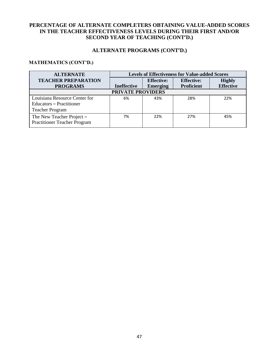# **PERCENTAGE OF ALTERNATE COMPLETERS OBTAINING VALUE-ADDED SCORES IN THE TEACHER EFFECTIVENESS LEVELS DURING THEIR FIRST AND/OR SECOND YEAR OF TEACHING (CONT'D.)**

## **ALTERNATE PROGRAMS (CONT'D.)**

# **MATHEMATICS (CONT'D.)**

| <b>ALTERNATE</b>                                                 | <b>Levels of Effectiveness for Value-added Scores</b> |                   |                   |                  |  |
|------------------------------------------------------------------|-------------------------------------------------------|-------------------|-------------------|------------------|--|
| <b>TEACHER PREPARATION</b>                                       |                                                       | <b>Effective:</b> | <b>Effective:</b> | <b>Highly</b>    |  |
| <b>PROGRAMS</b>                                                  | <b>Ineffective</b>                                    | <b>Emerging</b>   | <b>Proficient</b> | <b>Effective</b> |  |
| <b>PRIVATE PROVIDERS</b>                                         |                                                       |                   |                   |                  |  |
| Louisiana Resource Center for                                    | 6%                                                    | 43%               | 28%               | 22%              |  |
| Educators – Practitioner                                         |                                                       |                   |                   |                  |  |
| <b>Teacher Program</b>                                           |                                                       |                   |                   |                  |  |
| The New Teacher Project -<br><b>Practitioner Teacher Program</b> | 7%                                                    | 22%               | 27%               | 45%              |  |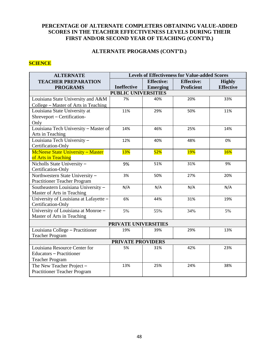# **PERCENTAGE OF ALTERNATE COMPLETERS OBTAINING VALUE-ADDED SCORES IN THE TEACHER EFFECTIVENESS LEVELS DURING THEIR FIRST AND/OR SECOND YEAR OF TEACHING (CONT'D.)**

# **ALTERNATE PROGRAMS (CONT'D.)**

# **SCIENCE**

| <b>ALTERNATE</b>                       | <b>Levels of Effectiveness for Value-added Scores</b> |                   |                   |                  |  |  |
|----------------------------------------|-------------------------------------------------------|-------------------|-------------------|------------------|--|--|
| <b>TEACHER PREPARATION</b>             |                                                       | <b>Effective:</b> | <b>Effective:</b> | <b>Highly</b>    |  |  |
| <b>PROGRAMS</b>                        | <b>Ineffective</b>                                    | <b>Emerging</b>   | <b>Proficient</b> | <b>Effective</b> |  |  |
|                                        | <b>PUBLIC UNIVERSITIES</b>                            |                   |                   |                  |  |  |
| Louisiana State University and A&M     | 7%                                                    | 40%               | 20%               | 33%              |  |  |
| College – Master of Arts in Teaching   |                                                       |                   |                   |                  |  |  |
| Louisiana State University at          | 11%                                                   | 29%               | 50%               | 11%              |  |  |
| Shreveport - Certification-            |                                                       |                   |                   |                  |  |  |
| Only                                   |                                                       |                   |                   |                  |  |  |
| Louisiana Tech University - Master of  | 14%                                                   | 46%               | 25%               | 14%              |  |  |
| Arts in Teaching                       |                                                       |                   |                   |                  |  |  |
| Louisiana Tech University -            | 12%                                                   | 40%               | 48%               | 0%               |  |  |
| Certification-Only                     |                                                       |                   |                   |                  |  |  |
| McNeese State University - Master      | <b>13%</b>                                            | <b>52%</b>        | <b>19%</b>        | <b>16%</b>       |  |  |
| of Arts in Teaching                    |                                                       |                   |                   |                  |  |  |
| Nicholls State University-             | 9%                                                    | 51%               | 31%               | 9%               |  |  |
| Certification-Only                     |                                                       |                   |                   |                  |  |  |
| Northwestern State University -        | 3%                                                    | 50%               | 27%               | 20%              |  |  |
| <b>Practitioner Teacher Program</b>    |                                                       |                   |                   |                  |  |  |
| Southeastern Louisiana University -    | N/A                                                   | N/A               | N/A               | N/A              |  |  |
| Master of Arts in Teaching             |                                                       |                   |                   |                  |  |  |
| University of Louisiana at Lafayette - | 6%                                                    | 44%               | 31%               | 19%              |  |  |
| Certification-Only                     |                                                       |                   |                   |                  |  |  |
| University of Louisiana at Monroe -    | 5%                                                    | 55%               | 34%               | 5%               |  |  |
| Master of Arts in Teaching             |                                                       |                   |                   |                  |  |  |
| PRIVATE UNIVERSITIES                   |                                                       |                   |                   |                  |  |  |
| Louisiana College - Practitioner       | 19%                                                   | 39%               | 29%               | 13%              |  |  |
| <b>Teacher Program</b>                 |                                                       |                   |                   |                  |  |  |
| <b>PRIVATE PROVIDERS</b>               |                                                       |                   |                   |                  |  |  |
| Louisiana Resource Center for          | 5%                                                    | 31%               | 42%               | 23%              |  |  |
| Educators - Practitioner               |                                                       |                   |                   |                  |  |  |
| <b>Teacher Program</b>                 |                                                       |                   |                   |                  |  |  |
| The New Teacher Project -              | 13%                                                   | 25%               | 24%               | 38%              |  |  |
| Practitioner Teacher Program           |                                                       |                   |                   |                  |  |  |
|                                        |                                                       |                   |                   |                  |  |  |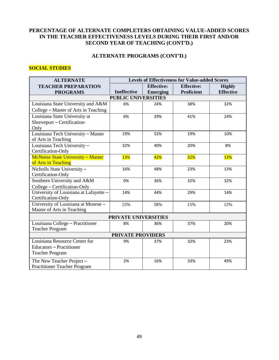# **PERCENTAGE OF ALTERNATE COMPLETERS OBTAINING VALUE-ADDED SCORES IN THE TEACHER EFFECTIVENESS LEVELS DURING THEIR FIRST AND/OR SECOND YEAR OF TEACHING (CONT'D.)**

# **ALTERNATE PROGRAMS (CONT'D.)**

# **SOCIAL STUDIES**

| <b>ALTERNATE</b>                       | <b>Levels of Effectiveness for Value-added Scores</b> |                   |                   |                  |  |  |
|----------------------------------------|-------------------------------------------------------|-------------------|-------------------|------------------|--|--|
| <b>TEACHER PREPARATION</b>             |                                                       | <b>Effective:</b> | <b>Effective:</b> | <b>Highly</b>    |  |  |
| <b>PROGRAMS</b>                        | <b>Ineffective</b>                                    | <b>Emerging</b>   | <b>Proficient</b> | <b>Effective</b> |  |  |
|                                        | <b>PUBLIC UNIVERSITIES</b>                            |                   |                   |                  |  |  |
| Louisiana State University and A&M     | 6%                                                    | 24%               | 38%               | 32%              |  |  |
| College - Master of Arts in Teaching   |                                                       |                   |                   |                  |  |  |
| Louisiana State University at          | 6%                                                    | 29%               | 41%               | 24%              |  |  |
| Shreveport - Certification-            |                                                       |                   |                   |                  |  |  |
| Only                                   |                                                       |                   |                   |                  |  |  |
| Louisiana Tech University - Master     | 19%                                                   | 52%               | 19%               | 10%              |  |  |
| of Arts in Teaching                    |                                                       |                   |                   |                  |  |  |
| Louisiana Tech University -            | 32%                                                   | 40%               | 20%               | 8%               |  |  |
| Certification-Only                     |                                                       |                   |                   |                  |  |  |
| McNeese State University - Master      | <b>13%</b>                                            | 42%               | <mark>32%</mark>  | <b>13%</b>       |  |  |
| of Arts in Teaching                    |                                                       |                   |                   |                  |  |  |
| Nicholls State University -            | 16%                                                   | 48%               | 23%               | 13%              |  |  |
| Certification-Only                     |                                                       |                   |                   |                  |  |  |
| Southern University and A&M            | 0%                                                    | 36%               | 32%               | 32%              |  |  |
| College - Certification-Only           |                                                       |                   |                   |                  |  |  |
| University of Louisiana at Lafayette - | 14%                                                   | 44%               | 29%               | 14%              |  |  |
| Certification-Only                     |                                                       |                   |                   |                  |  |  |
| University of Louisiana at Monroe -    | 15%                                                   | 58%               | 15%               | 12%              |  |  |
| Master of Arts in Teaching             |                                                       |                   |                   |                  |  |  |
| PRIVATE UNIVERSITIES                   |                                                       |                   |                   |                  |  |  |
| Louisiana College - Practitioner       | 8%                                                    | 36%               | 37%               | 20%              |  |  |
| <b>Teacher Program</b>                 |                                                       |                   |                   |                  |  |  |
| <b>PRIVATE PROVIDERS</b>               |                                                       |                   |                   |                  |  |  |
| Louisiana Resource Center for          | 9%                                                    | 37%               | 32%               | 23%              |  |  |
| <b>Educators - Practitioner</b>        |                                                       |                   |                   |                  |  |  |
| <b>Teacher Program</b>                 |                                                       |                   |                   |                  |  |  |
| The New Teacher Project -              | 2%                                                    | 16%               | 33%               | 49%              |  |  |
| <b>Practitioner Teacher Program</b>    |                                                       |                   |                   |                  |  |  |